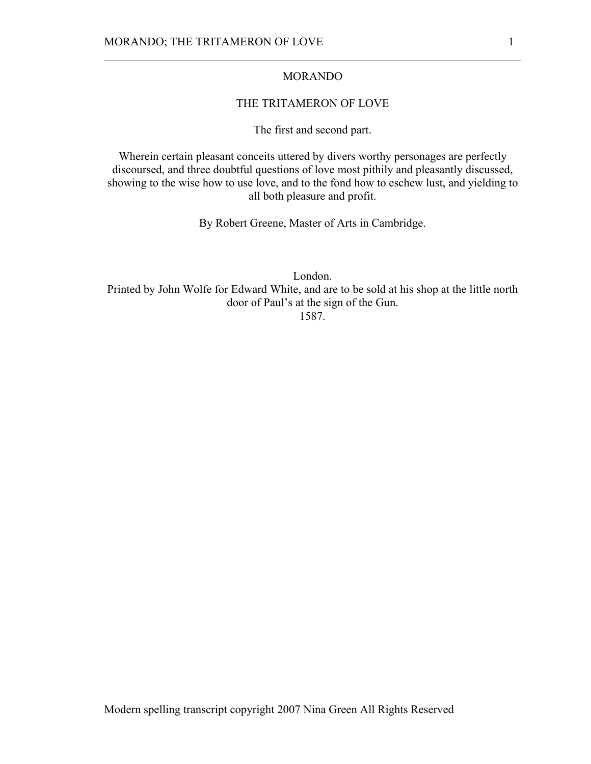## MORANDO

 $\mathcal{L}_\text{max} = \mathcal{L}_\text{max} = \mathcal{L}_\text{max} = \mathcal{L}_\text{max} = \mathcal{L}_\text{max} = \mathcal{L}_\text{max} = \mathcal{L}_\text{max} = \mathcal{L}_\text{max} = \mathcal{L}_\text{max} = \mathcal{L}_\text{max} = \mathcal{L}_\text{max} = \mathcal{L}_\text{max} = \mathcal{L}_\text{max} = \mathcal{L}_\text{max} = \mathcal{L}_\text{max} = \mathcal{L}_\text{max} = \mathcal{L}_\text{max} = \mathcal{L}_\text{max} = \mathcal{$ 

## THE TRITAMERON OF LOVE

The first and second part.

Wherein certain pleasant conceits uttered by divers worthy personages are perfectly discoursed, and three doubtful questions of love most pithily and pleasantly discussed, showing to the wise how to use love, and to the fond how to eschew lust, and yielding to all both pleasure and profit.

By Robert Greene, Master of Arts in Cambridge.

London. Printed by John Wolfe for Edward White, and are to be sold at his shop at the little north door of Paul's at the sign of the Gun. 1587.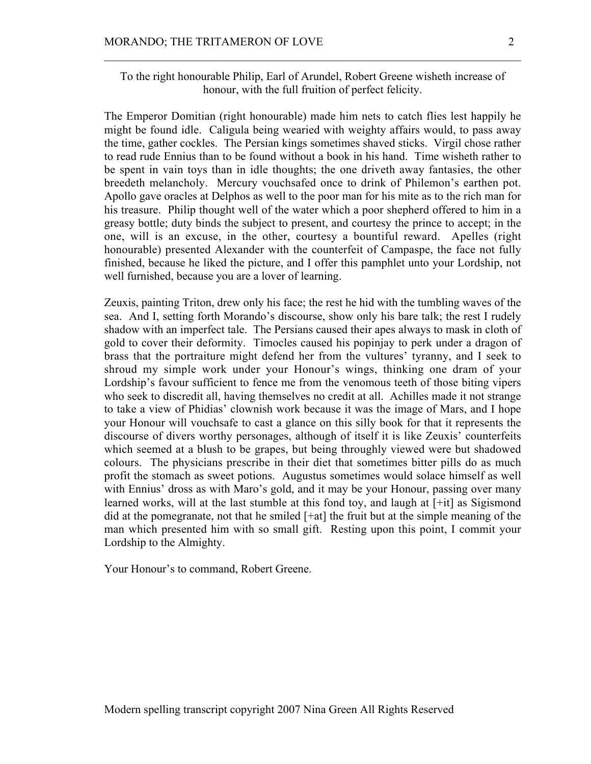To the right honourable Philip, Earl of Arundel, Robert Greene wisheth increase of honour, with the full fruition of perfect felicity.

 $\mathcal{L}_\text{max} = \mathcal{L}_\text{max} = \mathcal{L}_\text{max} = \mathcal{L}_\text{max} = \mathcal{L}_\text{max} = \mathcal{L}_\text{max} = \mathcal{L}_\text{max} = \mathcal{L}_\text{max} = \mathcal{L}_\text{max} = \mathcal{L}_\text{max} = \mathcal{L}_\text{max} = \mathcal{L}_\text{max} = \mathcal{L}_\text{max} = \mathcal{L}_\text{max} = \mathcal{L}_\text{max} = \mathcal{L}_\text{max} = \mathcal{L}_\text{max} = \mathcal{L}_\text{max} = \mathcal{$ 

The Emperor Domitian (right honourable) made him nets to catch flies lest happily he might be found idle. Caligula being wearied with weighty affairs would, to pass away the time, gather cockles. The Persian kings sometimes shaved sticks. Virgil chose rather to read rude Ennius than to be found without a book in his hand. Time wisheth rather to be spent in vain toys than in idle thoughts; the one driveth away fantasies, the other breedeth melancholy. Mercury vouchsafed once to drink of Philemon's earthen pot. Apollo gave oracles at Delphos as well to the poor man for his mite as to the rich man for his treasure. Philip thought well of the water which a poor shepherd offered to him in a greasy bottle; duty binds the subject to present, and courtesy the prince to accept; in the one, will is an excuse, in the other, courtesy a bountiful reward. Apelles (right honourable) presented Alexander with the counterfeit of Campaspe, the face not fully finished, because he liked the picture, and I offer this pamphlet unto your Lordship, not well furnished, because you are a lover of learning.

Zeuxis, painting Triton, drew only his face; the rest he hid with the tumbling waves of the sea. And I, setting forth Morando's discourse, show only his bare talk; the rest I rudely shadow with an imperfect tale. The Persians caused their apes always to mask in cloth of gold to cover their deformity. Timocles caused his popinjay to perk under a dragon of brass that the portraiture might defend her from the vultures' tyranny, and I seek to shroud my simple work under your Honour's wings, thinking one dram of your Lordship's favour sufficient to fence me from the venomous teeth of those biting vipers who seek to discredit all, having themselves no credit at all. Achilles made it not strange to take a view of Phidias' clownish work because it was the image of Mars, and I hope your Honour will vouchsafe to cast a glance on this silly book for that it represents the discourse of divers worthy personages, although of itself it is like Zeuxis' counterfeits which seemed at a blush to be grapes, but being throughly viewed were but shadowed colours. The physicians prescribe in their diet that sometimes bitter pills do as much profit the stomach as sweet potions. Augustus sometimes would solace himself as well with Ennius' dross as with Maro's gold, and it may be your Honour, passing over many learned works, will at the last stumble at this fond toy, and laugh at [+it] as Sigismond did at the pomegranate, not that he smiled [+at] the fruit but at the simple meaning of the man which presented him with so small gift. Resting upon this point, I commit your Lordship to the Almighty.

Your Honour's to command, Robert Greene.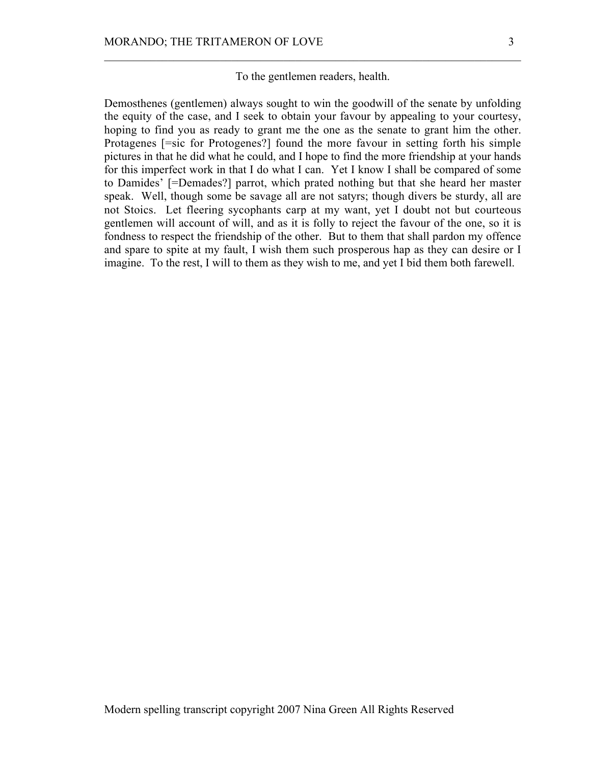To the gentlemen readers, health.

 $\mathcal{L}_\text{max} = \mathcal{L}_\text{max} = \mathcal{L}_\text{max} = \mathcal{L}_\text{max} = \mathcal{L}_\text{max} = \mathcal{L}_\text{max} = \mathcal{L}_\text{max} = \mathcal{L}_\text{max} = \mathcal{L}_\text{max} = \mathcal{L}_\text{max} = \mathcal{L}_\text{max} = \mathcal{L}_\text{max} = \mathcal{L}_\text{max} = \mathcal{L}_\text{max} = \mathcal{L}_\text{max} = \mathcal{L}_\text{max} = \mathcal{L}_\text{max} = \mathcal{L}_\text{max} = \mathcal{$ 

Demosthenes (gentlemen) always sought to win the goodwill of the senate by unfolding the equity of the case, and I seek to obtain your favour by appealing to your courtesy, hoping to find you as ready to grant me the one as the senate to grant him the other. Protagenes [=sic for Protogenes?] found the more favour in setting forth his simple pictures in that he did what he could, and I hope to find the more friendship at your hands for this imperfect work in that I do what I can. Yet I know I shall be compared of some to Damides' [=Demades?] parrot, which prated nothing but that she heard her master speak. Well, though some be savage all are not satyrs; though divers be sturdy, all are not Stoics. Let fleering sycophants carp at my want, yet I doubt not but courteous gentlemen will account of will, and as it is folly to reject the favour of the one, so it is fondness to respect the friendship of the other. But to them that shall pardon my offence and spare to spite at my fault, I wish them such prosperous hap as they can desire or I imagine. To the rest, I will to them as they wish to me, and yet I bid them both farewell.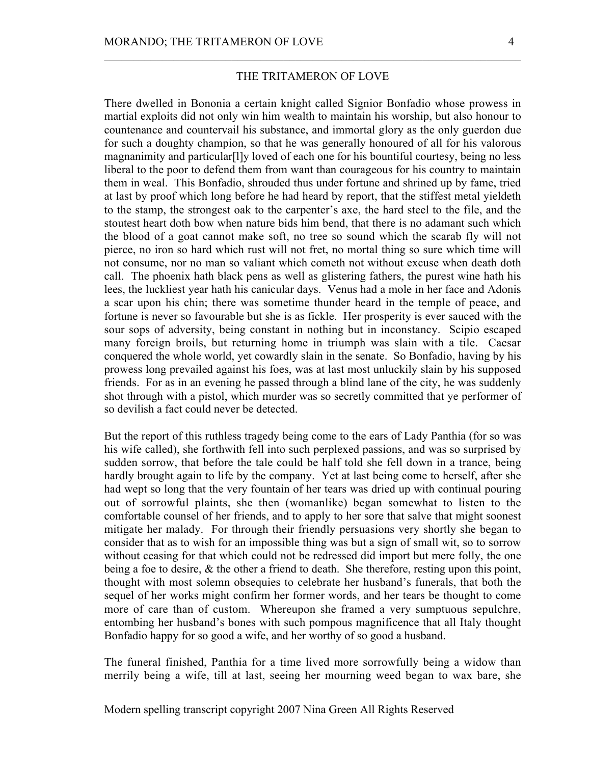## THE TRITAMERON OF LOVE

 $\mathcal{L}_\text{max} = \mathcal{L}_\text{max} = \mathcal{L}_\text{max} = \mathcal{L}_\text{max} = \mathcal{L}_\text{max} = \mathcal{L}_\text{max} = \mathcal{L}_\text{max} = \mathcal{L}_\text{max} = \mathcal{L}_\text{max} = \mathcal{L}_\text{max} = \mathcal{L}_\text{max} = \mathcal{L}_\text{max} = \mathcal{L}_\text{max} = \mathcal{L}_\text{max} = \mathcal{L}_\text{max} = \mathcal{L}_\text{max} = \mathcal{L}_\text{max} = \mathcal{L}_\text{max} = \mathcal{$ 

There dwelled in Bononia a certain knight called Signior Bonfadio whose prowess in martial exploits did not only win him wealth to maintain his worship, but also honour to countenance and countervail his substance, and immortal glory as the only guerdon due for such a doughty champion, so that he was generally honoured of all for his valorous magnanimity and particular[l]y loved of each one for his bountiful courtesy, being no less liberal to the poor to defend them from want than courageous for his country to maintain them in weal. This Bonfadio, shrouded thus under fortune and shrined up by fame, tried at last by proof which long before he had heard by report, that the stiffest metal yieldeth to the stamp, the strongest oak to the carpenter's axe, the hard steel to the file, and the stoutest heart doth bow when nature bids him bend, that there is no adamant such which the blood of a goat cannot make soft, no tree so sound which the scarab fly will not pierce, no iron so hard which rust will not fret, no mortal thing so sure which time will not consume, nor no man so valiant which cometh not without excuse when death doth call. The phoenix hath black pens as well as glistering fathers, the purest wine hath his lees, the luckliest year hath his canicular days. Venus had a mole in her face and Adonis a scar upon his chin; there was sometime thunder heard in the temple of peace, and fortune is never so favourable but she is as fickle. Her prosperity is ever sauced with the sour sops of adversity, being constant in nothing but in inconstancy. Scipio escaped many foreign broils, but returning home in triumph was slain with a tile. Caesar conquered the whole world, yet cowardly slain in the senate. So Bonfadio, having by his prowess long prevailed against his foes, was at last most unluckily slain by his supposed friends. For as in an evening he passed through a blind lane of the city, he was suddenly shot through with a pistol, which murder was so secretly committed that ye performer of so devilish a fact could never be detected.

But the report of this ruthless tragedy being come to the ears of Lady Panthia (for so was his wife called), she forthwith fell into such perplexed passions, and was so surprised by sudden sorrow, that before the tale could be half told she fell down in a trance, being hardly brought again to life by the company. Yet at last being come to herself, after she had wept so long that the very fountain of her tears was dried up with continual pouring out of sorrowful plaints, she then (womanlike) began somewhat to listen to the comfortable counsel of her friends, and to apply to her sore that salve that might soonest mitigate her malady. For through their friendly persuasions very shortly she began to consider that as to wish for an impossible thing was but a sign of small wit, so to sorrow without ceasing for that which could not be redressed did import but mere folly, the one being a foe to desire,  $\&$  the other a friend to death. She therefore, resting upon this point, thought with most solemn obsequies to celebrate her husband's funerals, that both the sequel of her works might confirm her former words, and her tears be thought to come more of care than of custom. Whereupon she framed a very sumptuous sepulchre, entombing her husband's bones with such pompous magnificence that all Italy thought Bonfadio happy for so good a wife, and her worthy of so good a husband.

The funeral finished, Panthia for a time lived more sorrowfully being a widow than merrily being a wife, till at last, seeing her mourning weed began to wax bare, she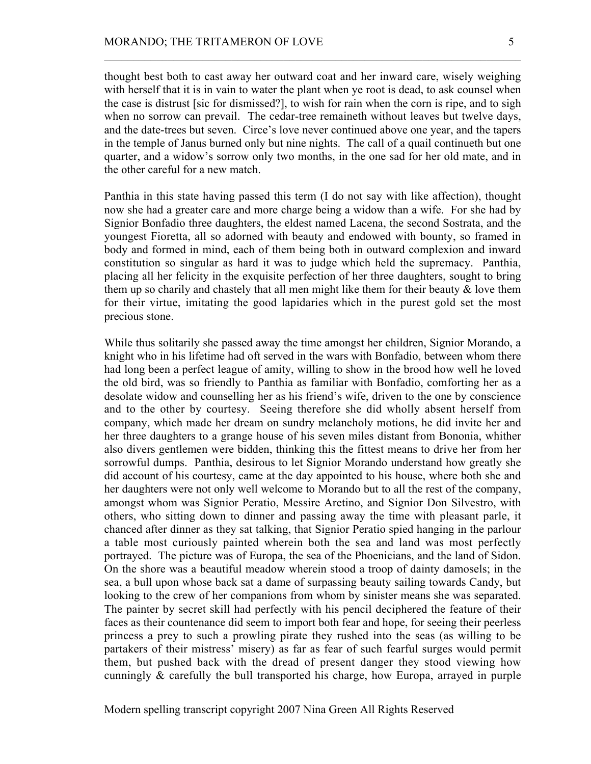thought best both to cast away her outward coat and her inward care, wisely weighing with herself that it is in vain to water the plant when ye root is dead, to ask counsel when the case is distrust [sic for dismissed?], to wish for rain when the corn is ripe, and to sigh when no sorrow can prevail. The cedar-tree remaineth without leaves but twelve days, and the date-trees but seven. Circe's love never continued above one year, and the tapers in the temple of Janus burned only but nine nights. The call of a quail continueth but one quarter, and a widow's sorrow only two months, in the one sad for her old mate, and in the other careful for a new match.

 $\mathcal{L}_\text{max} = \mathcal{L}_\text{max} = \mathcal{L}_\text{max} = \mathcal{L}_\text{max} = \mathcal{L}_\text{max} = \mathcal{L}_\text{max} = \mathcal{L}_\text{max} = \mathcal{L}_\text{max} = \mathcal{L}_\text{max} = \mathcal{L}_\text{max} = \mathcal{L}_\text{max} = \mathcal{L}_\text{max} = \mathcal{L}_\text{max} = \mathcal{L}_\text{max} = \mathcal{L}_\text{max} = \mathcal{L}_\text{max} = \mathcal{L}_\text{max} = \mathcal{L}_\text{max} = \mathcal{$ 

Panthia in this state having passed this term (I do not say with like affection), thought now she had a greater care and more charge being a widow than a wife. For she had by Signior Bonfadio three daughters, the eldest named Lacena, the second Sostrata, and the youngest Fioretta, all so adorned with beauty and endowed with bounty, so framed in body and formed in mind, each of them being both in outward complexion and inward constitution so singular as hard it was to judge which held the supremacy. Panthia, placing all her felicity in the exquisite perfection of her three daughters, sought to bring them up so charily and chastely that all men might like them for their beauty  $\&$  love them for their virtue, imitating the good lapidaries which in the purest gold set the most precious stone.

While thus solitarily she passed away the time amongst her children, Signior Morando, a knight who in his lifetime had oft served in the wars with Bonfadio, between whom there had long been a perfect league of amity, willing to show in the brood how well he loved the old bird, was so friendly to Panthia as familiar with Bonfadio, comforting her as a desolate widow and counselling her as his friend's wife, driven to the one by conscience and to the other by courtesy. Seeing therefore she did wholly absent herself from company, which made her dream on sundry melancholy motions, he did invite her and her three daughters to a grange house of his seven miles distant from Bononia, whither also divers gentlemen were bidden, thinking this the fittest means to drive her from her sorrowful dumps. Panthia, desirous to let Signior Morando understand how greatly she did account of his courtesy, came at the day appointed to his house, where both she and her daughters were not only well welcome to Morando but to all the rest of the company, amongst whom was Signior Peratio, Messire Aretino, and Signior Don Silvestro, with others, who sitting down to dinner and passing away the time with pleasant parle, it chanced after dinner as they sat talking, that Signior Peratio spied hanging in the parlour a table most curiously painted wherein both the sea and land was most perfectly portrayed. The picture was of Europa, the sea of the Phoenicians, and the land of Sidon. On the shore was a beautiful meadow wherein stood a troop of dainty damosels; in the sea, a bull upon whose back sat a dame of surpassing beauty sailing towards Candy, but looking to the crew of her companions from whom by sinister means she was separated. The painter by secret skill had perfectly with his pencil deciphered the feature of their faces as their countenance did seem to import both fear and hope, for seeing their peerless princess a prey to such a prowling pirate they rushed into the seas (as willing to be partakers of their mistress' misery) as far as fear of such fearful surges would permit them, but pushed back with the dread of present danger they stood viewing how cunningly & carefully the bull transported his charge, how Europa, arrayed in purple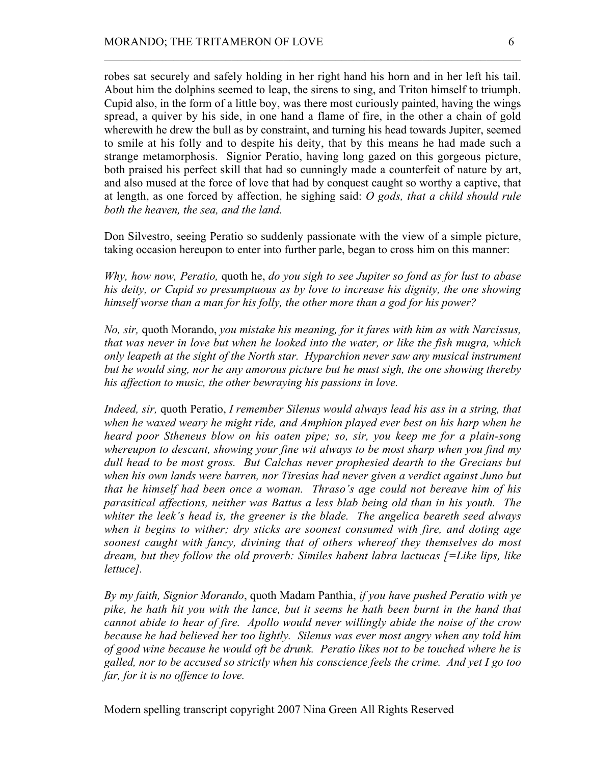robes sat securely and safely holding in her right hand his horn and in her left his tail. About him the dolphins seemed to leap, the sirens to sing, and Triton himself to triumph. Cupid also, in the form of a little boy, was there most curiously painted, having the wings spread, a quiver by his side, in one hand a flame of fire, in the other a chain of gold wherewith he drew the bull as by constraint, and turning his head towards Jupiter, seemed to smile at his folly and to despite his deity, that by this means he had made such a strange metamorphosis. Signior Peratio, having long gazed on this gorgeous picture, both praised his perfect skill that had so cunningly made a counterfeit of nature by art, and also mused at the force of love that had by conquest caught so worthy a captive, that at length, as one forced by affection, he sighing said: *O gods, that a child should rule both the heaven, the sea, and the land.*

 $\mathcal{L}_\text{max} = \mathcal{L}_\text{max} = \mathcal{L}_\text{max} = \mathcal{L}_\text{max} = \mathcal{L}_\text{max} = \mathcal{L}_\text{max} = \mathcal{L}_\text{max} = \mathcal{L}_\text{max} = \mathcal{L}_\text{max} = \mathcal{L}_\text{max} = \mathcal{L}_\text{max} = \mathcal{L}_\text{max} = \mathcal{L}_\text{max} = \mathcal{L}_\text{max} = \mathcal{L}_\text{max} = \mathcal{L}_\text{max} = \mathcal{L}_\text{max} = \mathcal{L}_\text{max} = \mathcal{$ 

Don Silvestro, seeing Peratio so suddenly passionate with the view of a simple picture, taking occasion hereupon to enter into further parle, began to cross him on this manner:

*Why, how now, Peratio,* quoth he, *do you sigh to see Jupiter so fond as for lust to abase his deity, or Cupid so presumptuous as by love to increase his dignity, the one showing himself worse than a man for his folly, the other more than a god for his power?*

*No, sir,* quoth Morando, *you mistake his meaning, for it fares with him as with Narcissus, that was never in love but when he looked into the water, or like the fish mugra, which only leapeth at the sight of the North star. Hyparchion never saw any musical instrument but he would sing, nor he any amorous picture but he must sigh, the one showing thereby his affection to music, the other bewraying his passions in love.*

*Indeed, sir,* quoth Peratio, *I remember Silenus would always lead his ass in a string, that when he waxed weary he might ride, and Amphion played ever best on his harp when he heard poor Stheneus blow on his oaten pipe; so, sir, you keep me for a plain-song whereupon to descant, showing your fine wit always to be most sharp when you find my dull head to be most gross. But Calchas never prophesied dearth to the Grecians but when his own lands were barren, nor Tiresias had never given a verdict against Juno but that he himself had been once a woman. Thraso's age could not bereave him of his parasitical affections, neither was Battus a less blab being old than in his youth. The whiter the leek's head is, the greener is the blade. The angelica beareth seed always when it begins to wither; dry sticks are soonest consumed with fire, and doting age soonest caught with fancy, divining that of others whereof they themselves do most dream, but they follow the old proverb: Similes habent labra lactucas [=Like lips, like lettuce].*

*By my faith, Signior Morando*, quoth Madam Panthia, *if you have pushed Peratio with ye pike, he hath hit you with the lance, but it seems he hath been burnt in the hand that cannot abide to hear of fire. Apollo would never willingly abide the noise of the crow because he had believed her too lightly. Silenus was ever most angry when any told him of good wine because he would oft be drunk. Peratio likes not to be touched where he is galled, nor to be accused so strictly when his conscience feels the crime. And yet I go too far, for it is no offence to love.*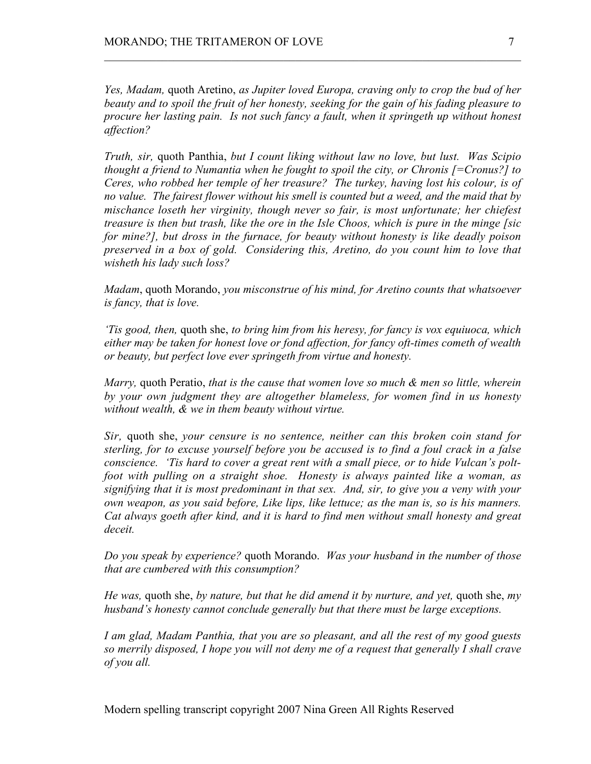*Yes, Madam,* quoth Aretino, *as Jupiter loved Europa, craving only to crop the bud of her beauty and to spoil the fruit of her honesty, seeking for the gain of his fading pleasure to procure her lasting pain. Is not such fancy a fault, when it springeth up without honest affection?*

 $\mathcal{L}_\text{max} = \mathcal{L}_\text{max} = \mathcal{L}_\text{max} = \mathcal{L}_\text{max} = \mathcal{L}_\text{max} = \mathcal{L}_\text{max} = \mathcal{L}_\text{max} = \mathcal{L}_\text{max} = \mathcal{L}_\text{max} = \mathcal{L}_\text{max} = \mathcal{L}_\text{max} = \mathcal{L}_\text{max} = \mathcal{L}_\text{max} = \mathcal{L}_\text{max} = \mathcal{L}_\text{max} = \mathcal{L}_\text{max} = \mathcal{L}_\text{max} = \mathcal{L}_\text{max} = \mathcal{$ 

*Truth, sir,* quoth Panthia, *but I count liking without law no love, but lust. Was Scipio thought a friend to Numantia when he fought to spoil the city, or Chronis [=Cronus?] to Ceres, who robbed her temple of her treasure? The turkey, having lost his colour, is of no value. The fairest flower without his smell is counted but a weed, and the maid that by mischance loseth her virginity, though never so fair, is most unfortunate; her chiefest treasure is then but trash, like the ore in the Isle Choos, which is pure in the minge [sic for mine?], but dross in the furnace, for beauty without honesty is like deadly poison preserved in a box of gold. Considering this, Aretino, do you count him to love that wisheth his lady such loss?*

*Madam*, quoth Morando, *you misconstrue of his mind, for Aretino counts that whatsoever is fancy, that is love.*

*'Tis good, then,* quoth she, *to bring him from his heresy, for fancy is vox equiuoca, which either may be taken for honest love or fond affection, for fancy oft-times cometh of wealth or beauty, but perfect love ever springeth from virtue and honesty.*

*Marry,* quoth Peratio, *that is the cause that women love so much & men so little, wherein by your own judgment they are altogether blameless, for women find in us honesty without wealth, & we in them beauty without virtue.*

*Sir,* quoth she, *your censure is no sentence, neither can this broken coin stand for sterling, for to excuse yourself before you be accused is to find a foul crack in a false conscience. 'Tis hard to cover a great rent with a small piece, or to hide Vulcan's poltfoot with pulling on a straight shoe. Honesty is always painted like a woman, as signifying that it is most predominant in that sex. And, sir, to give you a veny with your own weapon, as you said before, Like lips, like lettuce; as the man is, so is his manners. Cat always goeth after kind, and it is hard to find men without small honesty and great deceit.*

*Do you speak by experience?* quoth Morando. *Was your husband in the number of those that are cumbered with this consumption?*

*He was,* quoth she, *by nature, but that he did amend it by nurture, and yet,* quoth she, *my husband's honesty cannot conclude generally but that there must be large exceptions.*

*I am glad, Madam Panthia, that you are so pleasant, and all the rest of my good guests so merrily disposed, I hope you will not deny me of a request that generally I shall crave of you all.*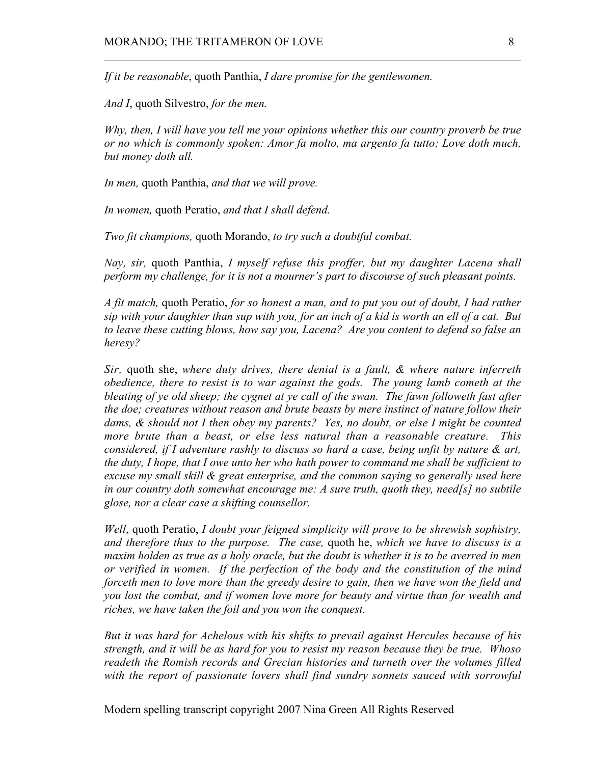*If it be reasonable*, quoth Panthia, *I dare promise for the gentlewomen.*

*And I*, quoth Silvestro, *for the men.*

*Why, then, I will have you tell me your opinions whether this our country proverb be true or no which is commonly spoken: Amor fa molto, ma argento fa tutto; Love doth much, but money doth all.*

 $\mathcal{L}_\text{max} = \mathcal{L}_\text{max} = \mathcal{L}_\text{max} = \mathcal{L}_\text{max} = \mathcal{L}_\text{max} = \mathcal{L}_\text{max} = \mathcal{L}_\text{max} = \mathcal{L}_\text{max} = \mathcal{L}_\text{max} = \mathcal{L}_\text{max} = \mathcal{L}_\text{max} = \mathcal{L}_\text{max} = \mathcal{L}_\text{max} = \mathcal{L}_\text{max} = \mathcal{L}_\text{max} = \mathcal{L}_\text{max} = \mathcal{L}_\text{max} = \mathcal{L}_\text{max} = \mathcal{$ 

*In men,* quoth Panthia, *and that we will prove.*

*In women,* quoth Peratio, *and that I shall defend.*

*Two fit champions,* quoth Morando, *to try such a doubtful combat.*

*Nay, sir,* quoth Panthia, *I myself refuse this proffer, but my daughter Lacena shall perform my challenge, for it is not a mourner's part to discourse of such pleasant points.*

*A fit match,* quoth Peratio, *for so honest a man, and to put you out of doubt, I had rather sip with your daughter than sup with you, for an inch of a kid is worth an ell of a cat. But to leave these cutting blows, how say you, Lacena? Are you content to defend so false an heresy?*

*Sir,* quoth she, *where duty drives, there denial is a fault, & where nature inferreth obedience, there to resist is to war against the gods. The young lamb cometh at the bleating of ye old sheep; the cygnet at ye call of the swan. The fawn followeth fast after the doe; creatures without reason and brute beasts by mere instinct of nature follow their dams, & should not I then obey my parents? Yes, no doubt, or else I might be counted more brute than a beast, or else less natural than a reasonable creature. This considered, if I adventure rashly to discuss so hard a case, being unfit by nature & art, the duty, I hope, that I owe unto her who hath power to command me shall be sufficient to excuse my small skill & great enterprise, and the common saying so generally used here in our country doth somewhat encourage me: A sure truth, quoth they, need[s] no subtile glose, nor a clear case a shifting counsellor.*

*Well*, quoth Peratio, *I doubt your feigned simplicity will prove to be shrewish sophistry, and therefore thus to the purpose. The case,* quoth he, *which we have to discuss is a maxim holden as true as a holy oracle, but the doubt is whether it is to be averred in men or verified in women. If the perfection of the body and the constitution of the mind forceth men to love more than the greedy desire to gain, then we have won the field and you lost the combat, and if women love more for beauty and virtue than for wealth and riches, we have taken the foil and you won the conquest.*

*But it was hard for Achelous with his shifts to prevail against Hercules because of his strength, and it will be as hard for you to resist my reason because they be true. Whoso readeth the Romish records and Grecian histories and turneth over the volumes filled with the report of passionate lovers shall find sundry sonnets sauced with sorrowful*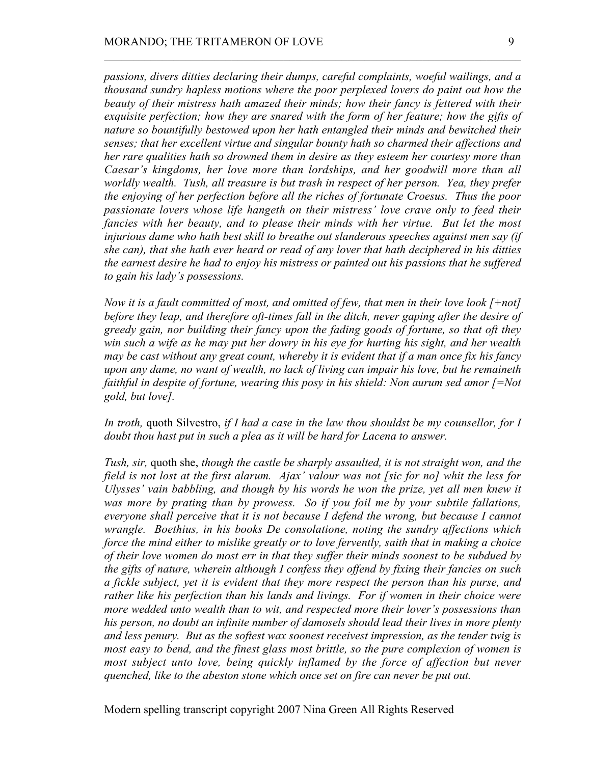*passions, divers ditties declaring their dumps, careful complaints, woeful wailings, and a thousand sundry hapless motions where the poor perplexed lovers do paint out how the beauty of their mistress hath amazed their minds; how their fancy is fettered with their exquisite perfection; how they are snared with the form of her feature; how the gifts of nature so bountifully bestowed upon her hath entangled their minds and bewitched their senses; that her excellent virtue and singular bounty hath so charmed their affections and her rare qualities hath so drowned them in desire as they esteem her courtesy more than Caesar's kingdoms, her love more than lordships, and her goodwill more than all worldly wealth. Tush, all treasure is but trash in respect of her person. Yea, they prefer the enjoying of her perfection before all the riches of fortunate Croesus. Thus the poor passionate lovers whose life hangeth on their mistress' love crave only to feed their fancies with her beauty, and to please their minds with her virtue. But let the most injurious dame who hath best skill to breathe out slanderous speeches against men say (if she can), that she hath ever heard or read of any lover that hath deciphered in his ditties the earnest desire he had to enjoy his mistress or painted out his passions that he suffered to gain his lady's possessions.*

 $\mathcal{L}_\text{max} = \mathcal{L}_\text{max} = \mathcal{L}_\text{max} = \mathcal{L}_\text{max} = \mathcal{L}_\text{max} = \mathcal{L}_\text{max} = \mathcal{L}_\text{max} = \mathcal{L}_\text{max} = \mathcal{L}_\text{max} = \mathcal{L}_\text{max} = \mathcal{L}_\text{max} = \mathcal{L}_\text{max} = \mathcal{L}_\text{max} = \mathcal{L}_\text{max} = \mathcal{L}_\text{max} = \mathcal{L}_\text{max} = \mathcal{L}_\text{max} = \mathcal{L}_\text{max} = \mathcal{$ 

*Now it is a fault committed of most, and omitted of few, that men in their love look [+not] before they leap, and therefore oft-times fall in the ditch, never gaping after the desire of greedy gain, nor building their fancy upon the fading goods of fortune, so that oft they win such a wife as he may put her dowry in his eye for hurting his sight, and her wealth may be cast without any great count, whereby it is evident that if a man once fix his fancy upon any dame, no want of wealth, no lack of living can impair his love, but he remaineth faithful in despite of fortune, wearing this posy in his shield: Non aurum sed amor [=Not gold, but love].*

*In troth,* quoth Silvestro, *if I had a case in the law thou shouldst be my counsellor, for I doubt thou hast put in such a plea as it will be hard for Lacena to answer.*

*Tush, sir,* quoth she, *though the castle be sharply assaulted, it is not straight won, and the field is not lost at the first alarum. Ajax' valour was not [sic for no] whit the less for Ulysses' vain babbling, and though by his words he won the prize, yet all men knew it was more by prating than by prowess. So if you foil me by your subtile fallations, everyone shall perceive that it is not because I defend the wrong, but because I cannot wrangle. Boethius, in his books De consolatione, noting the sundry affections which force the mind either to mislike greatly or to love fervently, saith that in making a choice of their love women do most err in that they suffer their minds soonest to be subdued by the gifts of nature, wherein although I confess they offend by fixing their fancies on such a fickle subject, yet it is evident that they more respect the person than his purse, and rather like his perfection than his lands and livings. For if women in their choice were more wedded unto wealth than to wit, and respected more their lover's possessions than his person, no doubt an infinite number of damosels should lead their lives in more plenty and less penury. But as the softest wax soonest receivest impression, as the tender twig is most easy to bend, and the finest glass most brittle, so the pure complexion of women is most subject unto love, being quickly inflamed by the force of affection but never quenched, like to the abeston stone which once set on fire can never be put out.*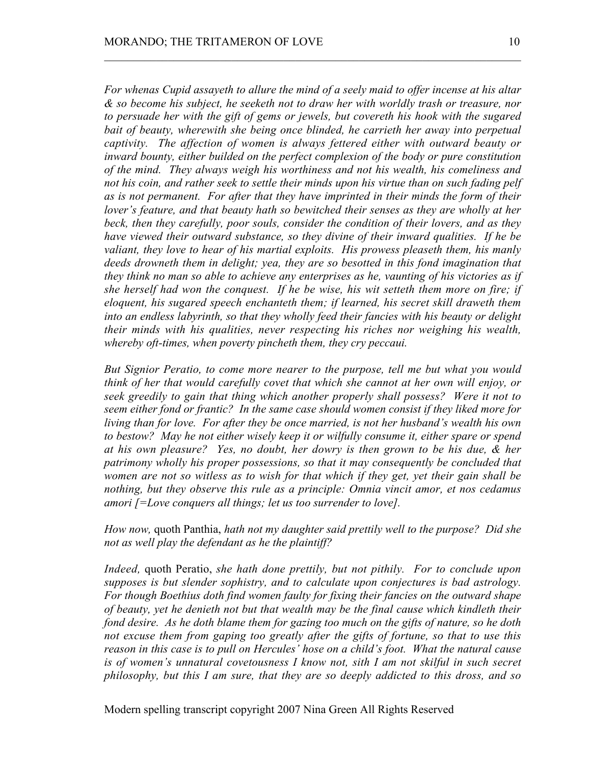*For whenas Cupid assayeth to allure the mind of a seely maid to offer incense at his altar & so become his subject, he seeketh not to draw her with worldly trash or treasure, nor to persuade her with the gift of gems or jewels, but covereth his hook with the sugared bait of beauty, wherewith she being once blinded, he carrieth her away into perpetual captivity. The affection of women is always fettered either with outward beauty or inward bounty, either builded on the perfect complexion of the body or pure constitution of the mind. They always weigh his worthiness and not his wealth, his comeliness and not his coin, and rather seek to settle their minds upon his virtue than on such fading pelf as is not permanent. For after that they have imprinted in their minds the form of their lover's feature, and that beauty hath so bewitched their senses as they are wholly at her beck, then they carefully, poor souls, consider the condition of their lovers, and as they have viewed their outward substance, so they divine of their inward qualities. If he be valiant, they love to hear of his martial exploits. His prowess pleaseth them, his manly deeds drowneth them in delight; yea, they are so besotted in this fond imagination that they think no man so able to achieve any enterprises as he, vaunting of his victories as if she herself had won the conquest. If he be wise, his wit setteth them more on fire; if eloquent, his sugared speech enchanteth them; if learned, his secret skill draweth them into an endless labyrinth, so that they wholly feed their fancies with his beauty or delight their minds with his qualities, never respecting his riches nor weighing his wealth, whereby oft-times, when poverty pincheth them, they cry peccaui.*

 $\mathcal{L}_\text{max} = \mathcal{L}_\text{max} = \mathcal{L}_\text{max} = \mathcal{L}_\text{max} = \mathcal{L}_\text{max} = \mathcal{L}_\text{max} = \mathcal{L}_\text{max} = \mathcal{L}_\text{max} = \mathcal{L}_\text{max} = \mathcal{L}_\text{max} = \mathcal{L}_\text{max} = \mathcal{L}_\text{max} = \mathcal{L}_\text{max} = \mathcal{L}_\text{max} = \mathcal{L}_\text{max} = \mathcal{L}_\text{max} = \mathcal{L}_\text{max} = \mathcal{L}_\text{max} = \mathcal{$ 

*But Signior Peratio, to come more nearer to the purpose, tell me but what you would think of her that would carefully covet that which she cannot at her own will enjoy, or seek greedily to gain that thing which another properly shall possess? Were it not to seem either fond or frantic? In the same case should women consist if they liked more for living than for love. For after they be once married, is not her husband's wealth his own to bestow? May he not either wisely keep it or wilfully consume it, either spare or spend at his own pleasure? Yes, no doubt, her dowry is then grown to be his due, & her patrimony wholly his proper possessions, so that it may consequently be concluded that women are not so witless as to wish for that which if they get, yet their gain shall be nothing, but they observe this rule as a principle: Omnia vincit amor, et nos cedamus amori [=Love conquers all things; let us too surrender to love].*

*How now,* quoth Panthia, *hath not my daughter said prettily well to the purpose? Did she not as well play the defendant as he the plaintiff?*

*Indeed,* quoth Peratio, *she hath done prettily, but not pithily. For to conclude upon supposes is but slender sophistry, and to calculate upon conjectures is bad astrology. For though Boethius doth find women faulty for fixing their fancies on the outward shape of beauty, yet he denieth not but that wealth may be the final cause which kindleth their fond desire. As he doth blame them for gazing too much on the gifts of nature, so he doth not excuse them from gaping too greatly after the gifts of fortune, so that to use this reason in this case is to pull on Hercules' hose on a child's foot. What the natural cause is of women's unnatural covetousness I know not, sith I am not skilful in such secret philosophy, but this I am sure, that they are so deeply addicted to this dross, and so*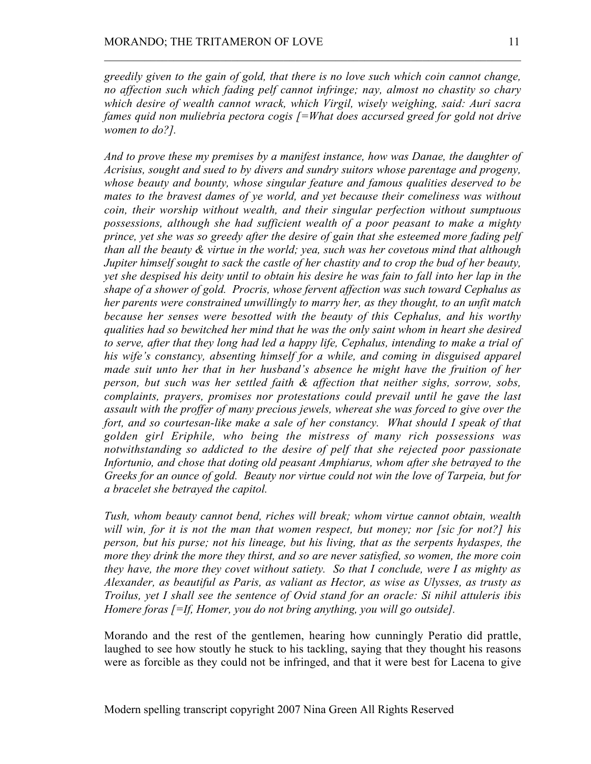*greedily given to the gain of gold, that there is no love such which coin cannot change, no affection such which fading pelf cannot infringe; nay, almost no chastity so chary which desire of wealth cannot wrack, which Virgil, wisely weighing, said: Auri sacra fames quid non muliebria pectora cogis [=What does accursed greed for gold not drive women to do?].*

 $\mathcal{L}_\text{max} = \mathcal{L}_\text{max} = \mathcal{L}_\text{max} = \mathcal{L}_\text{max} = \mathcal{L}_\text{max} = \mathcal{L}_\text{max} = \mathcal{L}_\text{max} = \mathcal{L}_\text{max} = \mathcal{L}_\text{max} = \mathcal{L}_\text{max} = \mathcal{L}_\text{max} = \mathcal{L}_\text{max} = \mathcal{L}_\text{max} = \mathcal{L}_\text{max} = \mathcal{L}_\text{max} = \mathcal{L}_\text{max} = \mathcal{L}_\text{max} = \mathcal{L}_\text{max} = \mathcal{$ 

*And to prove these my premises by a manifest instance, how was Danae, the daughter of Acrisius, sought and sued to by divers and sundry suitors whose parentage and progeny, whose beauty and bounty, whose singular feature and famous qualities deserved to be mates to the bravest dames of ye world, and yet because their comeliness was without coin, their worship without wealth, and their singular perfection without sumptuous possessions, although she had sufficient wealth of a poor peasant to make a mighty prince, yet she was so greedy after the desire of gain that she esteemed more fading pelf than all the beauty & virtue in the world; yea, such was her covetous mind that although Jupiter himself sought to sack the castle of her chastity and to crop the bud of her beauty, yet she despised his deity until to obtain his desire he was fain to fall into her lap in the shape of a shower of gold. Procris, whose fervent affection was such toward Cephalus as her parents were constrained unwillingly to marry her, as they thought, to an unfit match because her senses were besotted with the beauty of this Cephalus, and his worthy qualities had so bewitched her mind that he was the only saint whom in heart she desired to serve, after that they long had led a happy life, Cephalus, intending to make a trial of his wife's constancy, absenting himself for a while, and coming in disguised apparel made suit unto her that in her husband's absence he might have the fruition of her person, but such was her settled faith & affection that neither sighs, sorrow, sobs, complaints, prayers, promises nor protestations could prevail until he gave the last assault with the proffer of many precious jewels, whereat she was forced to give over the fort, and so courtesan-like make a sale of her constancy. What should I speak of that golden girl Eriphile, who being the mistress of many rich possessions was notwithstanding so addicted to the desire of pelf that she rejected poor passionate Infortunio, and chose that doting old peasant Amphiarus, whom after she betrayed to the Greeks for an ounce of gold. Beauty nor virtue could not win the love of Tarpeia, but for a bracelet she betrayed the capitol.*

*Tush, whom beauty cannot bend, riches will break; whom virtue cannot obtain, wealth will win, for it is not the man that women respect, but money; nor [sic for not?] his person, but his purse; not his lineage, but his living, that as the serpents hydaspes, the more they drink the more they thirst, and so are never satisfied, so women, the more coin they have, the more they covet without satiety. So that I conclude, were I as mighty as Alexander, as beautiful as Paris, as valiant as Hector, as wise as Ulysses, as trusty as Troilus, yet I shall see the sentence of Ovid stand for an oracle: Si nihil attuleris ibis Homere foras [=If, Homer, you do not bring anything, you will go outside].*

Morando and the rest of the gentlemen, hearing how cunningly Peratio did prattle, laughed to see how stoutly he stuck to his tackling, saying that they thought his reasons were as forcible as they could not be infringed, and that it were best for Lacena to give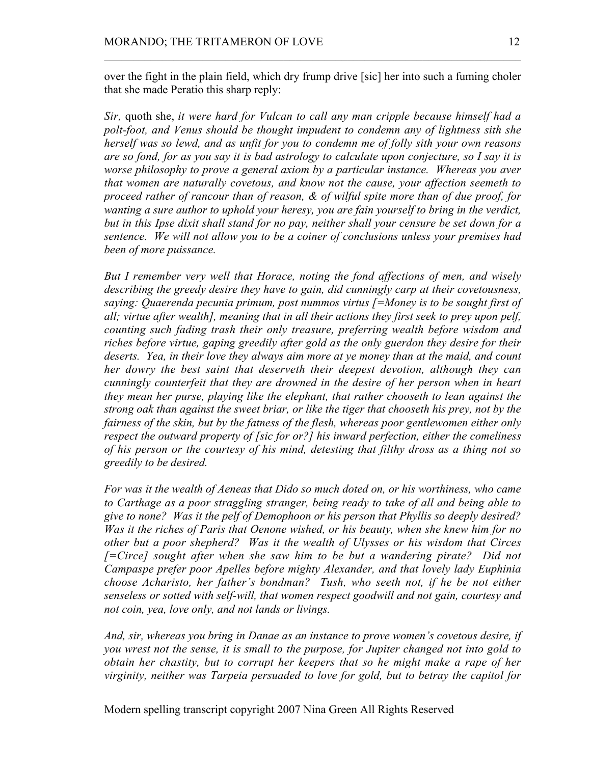over the fight in the plain field, which dry frump drive [sic] her into such a fuming choler that she made Peratio this sharp reply:

 $\mathcal{L}_\text{max} = \mathcal{L}_\text{max} = \mathcal{L}_\text{max} = \mathcal{L}_\text{max} = \mathcal{L}_\text{max} = \mathcal{L}_\text{max} = \mathcal{L}_\text{max} = \mathcal{L}_\text{max} = \mathcal{L}_\text{max} = \mathcal{L}_\text{max} = \mathcal{L}_\text{max} = \mathcal{L}_\text{max} = \mathcal{L}_\text{max} = \mathcal{L}_\text{max} = \mathcal{L}_\text{max} = \mathcal{L}_\text{max} = \mathcal{L}_\text{max} = \mathcal{L}_\text{max} = \mathcal{$ 

*Sir,* quoth she, *it were hard for Vulcan to call any man cripple because himself had a polt-foot, and Venus should be thought impudent to condemn any of lightness sith she herself was so lewd, and as unfit for you to condemn me of folly sith your own reasons are so fond, for as you say it is bad astrology to calculate upon conjecture, so I say it is worse philosophy to prove a general axiom by a particular instance. Whereas you aver that women are naturally covetous, and know not the cause, your affection seemeth to proceed rather of rancour than of reason, & of wilful spite more than of due proof, for wanting a sure author to uphold your heresy, you are fain yourself to bring in the verdict, but in this Ipse dixit shall stand for no pay, neither shall your censure be set down for a sentence. We will not allow you to be a coiner of conclusions unless your premises had been of more puissance.*

*But I remember very well that Horace, noting the fond affections of men, and wisely describing the greedy desire they have to gain, did cunningly carp at their covetousness, saying: Quaerenda pecunia primum, post nummos virtus [=Money is to be sought first of all; virtue after wealth], meaning that in all their actions they first seek to prey upon pelf, counting such fading trash their only treasure, preferring wealth before wisdom and riches before virtue, gaping greedily after gold as the only guerdon they desire for their deserts. Yea, in their love they always aim more at ye money than at the maid, and count her dowry the best saint that deserveth their deepest devotion, although they can cunningly counterfeit that they are drowned in the desire of her person when in heart they mean her purse, playing like the elephant, that rather chooseth to lean against the strong oak than against the sweet briar, or like the tiger that chooseth his prey, not by the fairness of the skin, but by the fatness of the flesh, whereas poor gentlewomen either only respect the outward property of [sic for or?] his inward perfection, either the comeliness of his person or the courtesy of his mind, detesting that filthy dross as a thing not so greedily to be desired.*

*For was it the wealth of Aeneas that Dido so much doted on, or his worthiness, who came to Carthage as a poor straggling stranger, being ready to take of all and being able to give to none? Was it the pelf of Demophoon or his person that Phyllis so deeply desired? Was it the riches of Paris that Oenone wished, or his beauty, when she knew him for no other but a poor shepherd? Was it the wealth of Ulysses or his wisdom that Circes [=Circe] sought after when she saw him to be but a wandering pirate? Did not Campaspe prefer poor Apelles before mighty Alexander, and that lovely lady Euphinia choose Acharisto, her father's bondman? Tush, who seeth not, if he be not either senseless or sotted with self-will, that women respect goodwill and not gain, courtesy and not coin, yea, love only, and not lands or livings.*

*And, sir, whereas you bring in Danae as an instance to prove women's covetous desire, if you wrest not the sense, it is small to the purpose, for Jupiter changed not into gold to obtain her chastity, but to corrupt her keepers that so he might make a rape of her virginity, neither was Tarpeia persuaded to love for gold, but to betray the capitol for*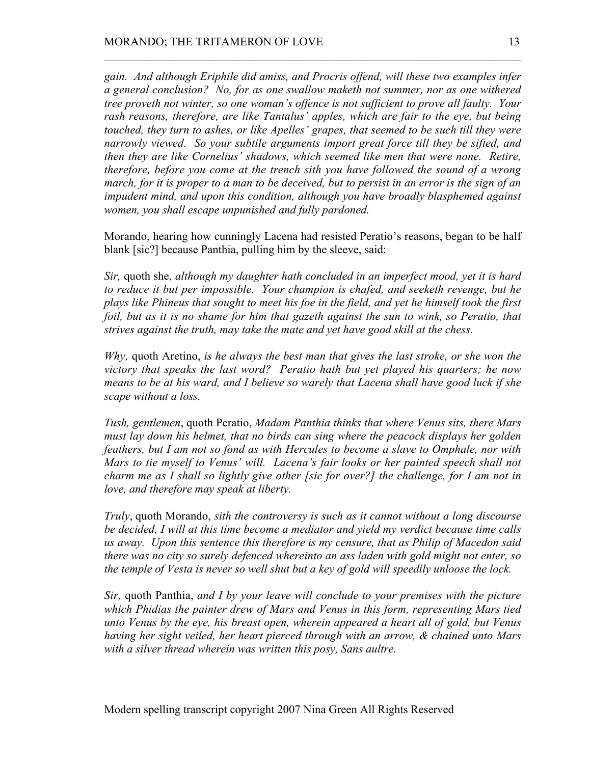*gain. And although Eriphile did amiss, and Procris offend, will these two examples infer a general conclusion? No, for as one swallow maketh not summer, nor as one withered tree proveth not winter, so one woman's offence is not sufficient to prove all faulty. Your rash reasons, therefore, are like Tantalus' apples, which are fair to the eye, but being touched, they turn to ashes, or like Apelles' grapes, that seemed to be such till they were narrowly viewed. So your subtile arguments import great force till they be sifted, and then they are like Cornelius' shadows, which seemed like men that were none. Retire, therefore, before you come at the trench sith you have followed the sound of a wrong march, for it is proper to a man to be deceived, but to persist in an error is the sign of an impudent mind, and upon this condition, although you have broadly blasphemed against women, you shall escape unpunished and fully pardoned.*

 $\mathcal{L}_\text{max} = \mathcal{L}_\text{max} = \mathcal{L}_\text{max} = \mathcal{L}_\text{max} = \mathcal{L}_\text{max} = \mathcal{L}_\text{max} = \mathcal{L}_\text{max} = \mathcal{L}_\text{max} = \mathcal{L}_\text{max} = \mathcal{L}_\text{max} = \mathcal{L}_\text{max} = \mathcal{L}_\text{max} = \mathcal{L}_\text{max} = \mathcal{L}_\text{max} = \mathcal{L}_\text{max} = \mathcal{L}_\text{max} = \mathcal{L}_\text{max} = \mathcal{L}_\text{max} = \mathcal{$ 

Morando, hearing how cunningly Lacena had resisted Peratio's reasons, began to be half blank [sic?] because Panthia, pulling him by the sleeve, said:

*Sir,* quoth she, *although my daughter hath concluded in an imperfect mood, yet it is hard to reduce it but per impossible. Your champion is chafed, and seeketh revenge, but he plays like Phineus that sought to meet his foe in the field, and yet he himself took the first foil, but as it is no shame for him that gazeth against the sun to wink, so Peratio, that strives against the truth, may take the mate and yet have good skill at the chess.*

*Why,* quoth Aretino, *is he always the best man that gives the last stroke, or she won the victory that speaks the last word? Peratio hath but yet played his quarters; he now means to be at his ward, and I believe so warely that Lacena shall have good luck if she scape without a loss.*

*Tush, gentlemen*, quoth Peratio, *Madam Panthia thinks that where Venus sits, there Mars must lay down his helmet, that no birds can sing where the peacock displays her golden feathers, but I am not so fond as with Hercules to become a slave to Omphale, nor with Mars to tie myself to Venus' will. Lacena's fair looks or her painted speech shall not charm me as I shall so lightly give other [sic for over?] the challenge, for I am not in love, and therefore may speak at liberty.*

*Truly*, quoth Morando, *sith the controversy is such as it cannot without a long discourse be decided, I will at this time become a mediator and yield my verdict because time calls us away. Upon this sentence this therefore is my censure, that as Philip of Macedon said there was no city so surely defenced whereinto an ass laden with gold might not enter, so the temple of Vesta is never so well shut but a key of gold will speedily unloose the lock.*

*Sir,* quoth Panthia, *and I by your leave will conclude to your premises with the picture which Phidias the painter drew of Mars and Venus in this form, representing Mars tied unto Venus by the eye, his breast open, wherein appeared a heart all of gold, but Venus having her sight veiled, her heart pierced through with an arrow, & chained unto Mars with a silver thread wherein was written this posy, Sans aultre.*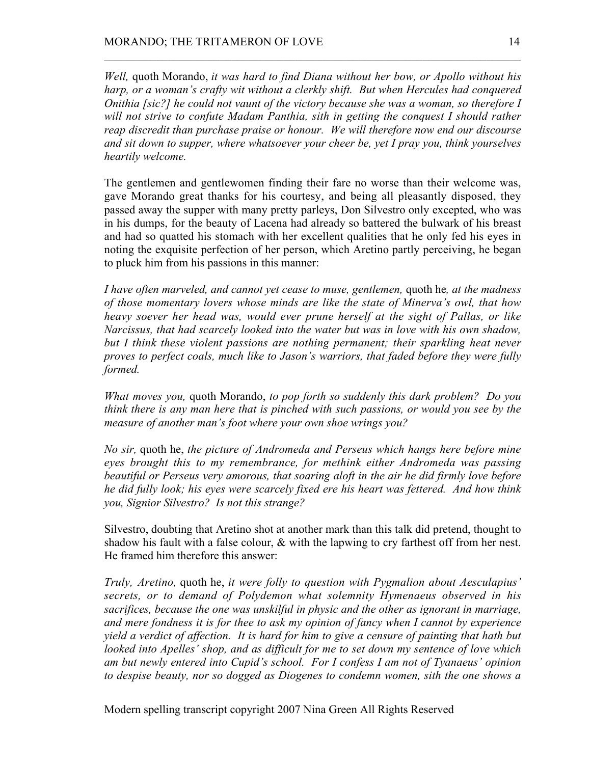*Well,* quoth Morando, *it was hard to find Diana without her bow, or Apollo without his harp, or a woman's crafty wit without a clerkly shift. But when Hercules had conquered Onithia [sic?] he could not vaunt of the victory because she was a woman, so therefore I will not strive to confute Madam Panthia, sith in getting the conquest I should rather reap discredit than purchase praise or honour. We will therefore now end our discourse and sit down to supper, where whatsoever your cheer be, yet I pray you, think yourselves heartily welcome.*

 $\mathcal{L}_\text{max} = \mathcal{L}_\text{max} = \mathcal{L}_\text{max} = \mathcal{L}_\text{max} = \mathcal{L}_\text{max} = \mathcal{L}_\text{max} = \mathcal{L}_\text{max} = \mathcal{L}_\text{max} = \mathcal{L}_\text{max} = \mathcal{L}_\text{max} = \mathcal{L}_\text{max} = \mathcal{L}_\text{max} = \mathcal{L}_\text{max} = \mathcal{L}_\text{max} = \mathcal{L}_\text{max} = \mathcal{L}_\text{max} = \mathcal{L}_\text{max} = \mathcal{L}_\text{max} = \mathcal{$ 

The gentlemen and gentlewomen finding their fare no worse than their welcome was, gave Morando great thanks for his courtesy, and being all pleasantly disposed, they passed away the supper with many pretty parleys, Don Silvestro only excepted, who was in his dumps, for the beauty of Lacena had already so battered the bulwark of his breast and had so quatted his stomach with her excellent qualities that he only fed his eyes in noting the exquisite perfection of her person, which Aretino partly perceiving, he began to pluck him from his passions in this manner:

*I have often marveled, and cannot yet cease to muse, gentlemen,* quoth he*, at the madness of those momentary lovers whose minds are like the state of Minerva's owl, that how heavy soever her head was, would ever prune herself at the sight of Pallas, or like Narcissus, that had scarcely looked into the water but was in love with his own shadow, but I think these violent passions are nothing permanent; their sparkling heat never proves to perfect coals, much like to Jason's warriors, that faded before they were fully formed.*

*What moves you,* quoth Morando, *to pop forth so suddenly this dark problem? Do you think there is any man here that is pinched with such passions, or would you see by the measure of another man's foot where your own shoe wrings you?*

*No sir,* quoth he, *the picture of Andromeda and Perseus which hangs here before mine eyes brought this to my remembrance, for methink either Andromeda was passing beautiful or Perseus very amorous, that soaring aloft in the air he did firmly love before he did fully look; his eyes were scarcely fixed ere his heart was fettered. And how think you, Signior Silvestro? Is not this strange?*

Silvestro, doubting that Aretino shot at another mark than this talk did pretend, thought to shadow his fault with a false colour, & with the lapwing to cry farthest off from her nest. He framed him therefore this answer:

*Truly, Aretino,* quoth he, *it were folly to question with Pygmalion about Aesculapius' secrets, or to demand of Polydemon what solemnity Hymenaeus observed in his sacrifices, because the one was unskilful in physic and the other as ignorant in marriage, and mere fondness it is for thee to ask my opinion of fancy when I cannot by experience yield a verdict of affection. It is hard for him to give a censure of painting that hath but looked into Apelles' shop, and as difficult for me to set down my sentence of love which am but newly entered into Cupid's school. For I confess I am not of Tyanaeus' opinion to despise beauty, nor so dogged as Diogenes to condemn women, sith the one shows a*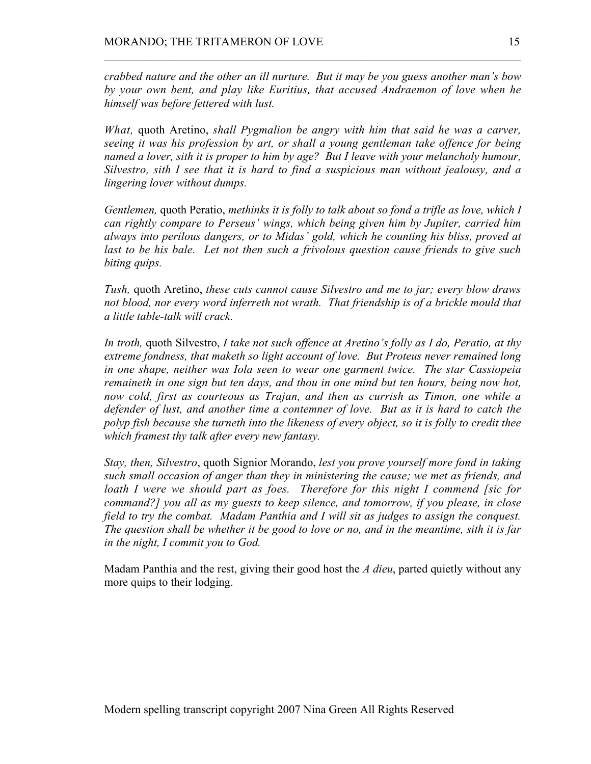*crabbed nature and the other an ill nurture. But it may be you guess another man's bow by your own bent, and play like Euritius, that accused Andraemon of love when he himself was before fettered with lust.*

 $\mathcal{L}_\text{max} = \mathcal{L}_\text{max} = \mathcal{L}_\text{max} = \mathcal{L}_\text{max} = \mathcal{L}_\text{max} = \mathcal{L}_\text{max} = \mathcal{L}_\text{max} = \mathcal{L}_\text{max} = \mathcal{L}_\text{max} = \mathcal{L}_\text{max} = \mathcal{L}_\text{max} = \mathcal{L}_\text{max} = \mathcal{L}_\text{max} = \mathcal{L}_\text{max} = \mathcal{L}_\text{max} = \mathcal{L}_\text{max} = \mathcal{L}_\text{max} = \mathcal{L}_\text{max} = \mathcal{$ 

*What,* quoth Aretino, *shall Pygmalion be angry with him that said he was a carver, seeing it was his profession by art, or shall a young gentleman take offence for being named a lover, sith it is proper to him by age? But I leave with your melancholy humour, Silvestro, sith I see that it is hard to find a suspicious man without jealousy, and a lingering lover without dumps.*

*Gentlemen,* quoth Peratio, *methinks it is folly to talk about so fond a trifle as love, which I can rightly compare to Perseus' wings, which being given him by Jupiter, carried him always into perilous dangers, or to Midas' gold, which he counting his bliss, proved at last to be his bale. Let not then such a frivolous question cause friends to give such biting quips.*

*Tush,* quoth Aretino, *these cuts cannot cause Silvestro and me to jar; every blow draws not blood, nor every word inferreth not wrath. That friendship is of a brickle mould that a little table-talk will crack.*

*In troth,* quoth Silvestro, *I take not such offence at Aretino's folly as I do, Peratio, at thy extreme fondness, that maketh so light account of love. But Proteus never remained long in one shape, neither was Iola seen to wear one garment twice. The star Cassiopeia remaineth in one sign but ten days, and thou in one mind but ten hours, being now hot, now cold, first as courteous as Trajan, and then as currish as Timon, one while a defender of lust, and another time a contemner of love. But as it is hard to catch the polyp fish because she turneth into the likeness of every object, so it is folly to credit thee which framest thy talk after every new fantasy.*

*Stay, then, Silvestro*, quoth Signior Morando, *lest you prove yourself more fond in taking such small occasion of anger than they in ministering the cause; we met as friends, and loath I were we should part as foes. Therefore for this night I commend [sic for command?] you all as my guests to keep silence, and tomorrow, if you please, in close field to try the combat. Madam Panthia and I will sit as judges to assign the conquest. The question shall be whether it be good to love or no, and in the meantime, sith it is far in the night, I commit you to God.*

Madam Panthia and the rest, giving their good host the *A dieu*, parted quietly without any more quips to their lodging.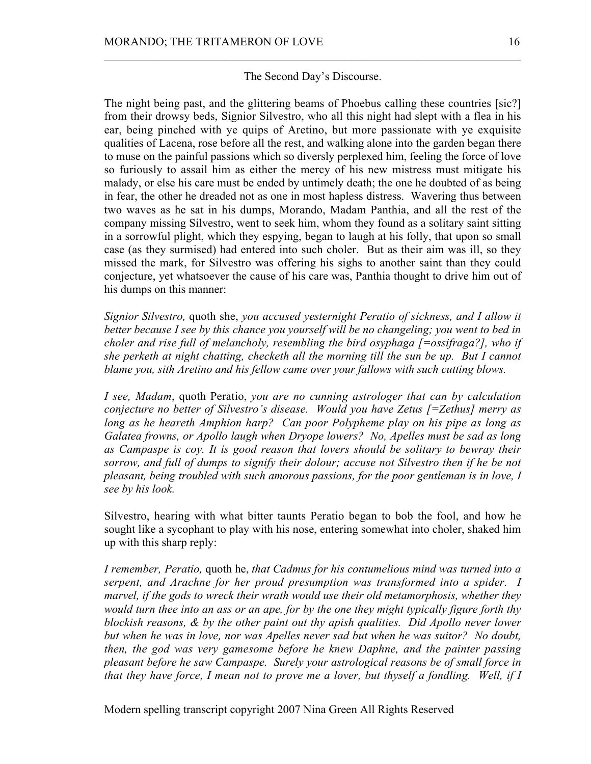## The Second Day's Discourse.

 $\mathcal{L}_\text{max} = \mathcal{L}_\text{max} = \mathcal{L}_\text{max} = \mathcal{L}_\text{max} = \mathcal{L}_\text{max} = \mathcal{L}_\text{max} = \mathcal{L}_\text{max} = \mathcal{L}_\text{max} = \mathcal{L}_\text{max} = \mathcal{L}_\text{max} = \mathcal{L}_\text{max} = \mathcal{L}_\text{max} = \mathcal{L}_\text{max} = \mathcal{L}_\text{max} = \mathcal{L}_\text{max} = \mathcal{L}_\text{max} = \mathcal{L}_\text{max} = \mathcal{L}_\text{max} = \mathcal{$ 

The night being past, and the glittering beams of Phoebus calling these countries [sic?] from their drowsy beds, Signior Silvestro, who all this night had slept with a flea in his ear, being pinched with ye quips of Aretino, but more passionate with ye exquisite qualities of Lacena, rose before all the rest, and walking alone into the garden began there to muse on the painful passions which so diversly perplexed him, feeling the force of love so furiously to assail him as either the mercy of his new mistress must mitigate his malady, or else his care must be ended by untimely death; the one he doubted of as being in fear, the other he dreaded not as one in most hapless distress. Wavering thus between two waves as he sat in his dumps, Morando, Madam Panthia, and all the rest of the company missing Silvestro, went to seek him, whom they found as a solitary saint sitting in a sorrowful plight, which they espying, began to laugh at his folly, that upon so small case (as they surmised) had entered into such choler. But as their aim was ill, so they missed the mark, for Silvestro was offering his sighs to another saint than they could conjecture, yet whatsoever the cause of his care was, Panthia thought to drive him out of his dumps on this manner:

*Signior Silvestro,* quoth she, *you accused yesternight Peratio of sickness, and I allow it better because I see by this chance you yourself will be no changeling; you went to bed in choler and rise full of melancholy, resembling the bird osyphaga [=ossifraga?], who if she perketh at night chatting, checketh all the morning till the sun be up. But I cannot blame you, sith Aretino and his fellow came over your fallows with such cutting blows.*

*I see, Madam*, quoth Peratio, *you are no cunning astrologer that can by calculation conjecture no better of Silvestro's disease. Would you have Zetus [=Zethus] merry as long as he heareth Amphion harp? Can poor Polypheme play on his pipe as long as Galatea frowns, or Apollo laugh when Dryope lowers? No, Apelles must be sad as long as Campaspe is coy. It is good reason that lovers should be solitary to bewray their sorrow, and full of dumps to signify their dolour; accuse not Silvestro then if he be not pleasant, being troubled with such amorous passions, for the poor gentleman is in love, I see by his look.*

Silvestro, hearing with what bitter taunts Peratio began to bob the fool, and how he sought like a sycophant to play with his nose, entering somewhat into choler, shaked him up with this sharp reply:

*I remember, Peratio,* quoth he, *that Cadmus for his contumelious mind was turned into a serpent, and Arachne for her proud presumption was transformed into a spider. I marvel, if the gods to wreck their wrath would use their old metamorphosis, whether they would turn thee into an ass or an ape, for by the one they might typically figure forth thy blockish reasons, & by the other paint out thy apish qualities. Did Apollo never lower but when he was in love, nor was Apelles never sad but when he was suitor? No doubt, then, the god was very gamesome before he knew Daphne, and the painter passing pleasant before he saw Campaspe. Surely your astrological reasons be of small force in that they have force, I mean not to prove me a lover, but thyself a fondling. Well, if I*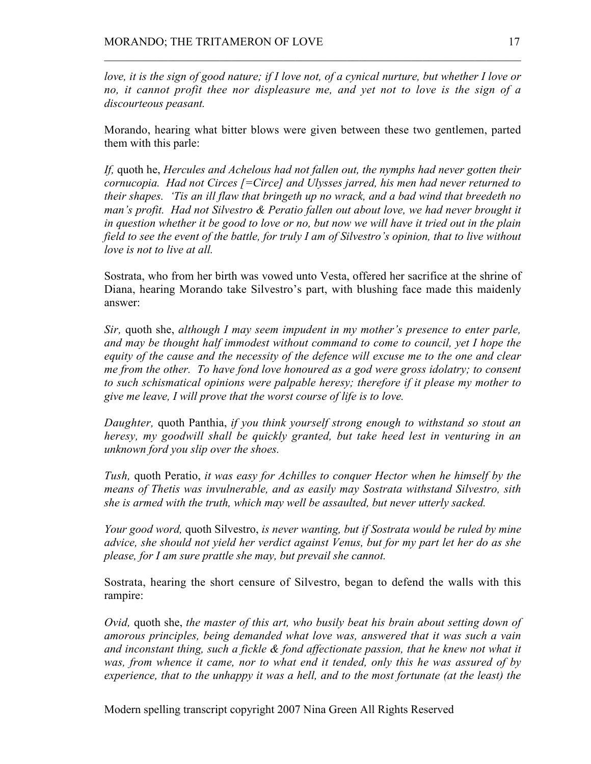*love, it is the sign of good nature; if I love not, of a cynical nurture, but whether I love or no, it cannot profit thee nor displeasure me, and yet not to love is the sign of a discourteous peasant.*

 $\mathcal{L}_\text{max} = \mathcal{L}_\text{max} = \mathcal{L}_\text{max} = \mathcal{L}_\text{max} = \mathcal{L}_\text{max} = \mathcal{L}_\text{max} = \mathcal{L}_\text{max} = \mathcal{L}_\text{max} = \mathcal{L}_\text{max} = \mathcal{L}_\text{max} = \mathcal{L}_\text{max} = \mathcal{L}_\text{max} = \mathcal{L}_\text{max} = \mathcal{L}_\text{max} = \mathcal{L}_\text{max} = \mathcal{L}_\text{max} = \mathcal{L}_\text{max} = \mathcal{L}_\text{max} = \mathcal{$ 

Morando, hearing what bitter blows were given between these two gentlemen, parted them with this parle:

*If,* quoth he, *Hercules and Achelous had not fallen out, the nymphs had never gotten their cornucopia. Had not Circes [=Circe] and Ulysses jarred, his men had never returned to their shapes. 'Tis an ill flaw that bringeth up no wrack, and a bad wind that breedeth no man's profit. Had not Silvestro & Peratio fallen out about love, we had never brought it in question whether it be good to love or no, but now we will have it tried out in the plain field to see the event of the battle, for truly I am of Silvestro's opinion, that to live without love is not to live at all.*

Sostrata, who from her birth was vowed unto Vesta, offered her sacrifice at the shrine of Diana, hearing Morando take Silvestro's part, with blushing face made this maidenly answer:

*Sir,* quoth she, *although I may seem impudent in my mother's presence to enter parle, and may be thought half immodest without command to come to council, yet I hope the equity of the cause and the necessity of the defence will excuse me to the one and clear me from the other. To have fond love honoured as a god were gross idolatry; to consent to such schismatical opinions were palpable heresy; therefore if it please my mother to give me leave, I will prove that the worst course of life is to love.*

*Daughter,* quoth Panthia, *if you think yourself strong enough to withstand so stout an heresy, my goodwill shall be quickly granted, but take heed lest in venturing in an unknown ford you slip over the shoes.*

*Tush,* quoth Peratio, *it was easy for Achilles to conquer Hector when he himself by the means of Thetis was invulnerable, and as easily may Sostrata withstand Silvestro, sith she is armed with the truth, which may well be assaulted, but never utterly sacked.*

*Your good word,* quoth Silvestro, *is never wanting, but if Sostrata would be ruled by mine advice, she should not yield her verdict against Venus, but for my part let her do as she please, for I am sure prattle she may, but prevail she cannot.*

Sostrata, hearing the short censure of Silvestro, began to defend the walls with this rampire:

*Ovid,* quoth she, *the master of this art, who busily beat his brain about setting down of amorous principles, being demanded what love was, answered that it was such a vain and inconstant thing, such a fickle & fond affectionate passion, that he knew not what it was, from whence it came, nor to what end it tended, only this he was assured of by experience, that to the unhappy it was a hell, and to the most fortunate (at the least) the*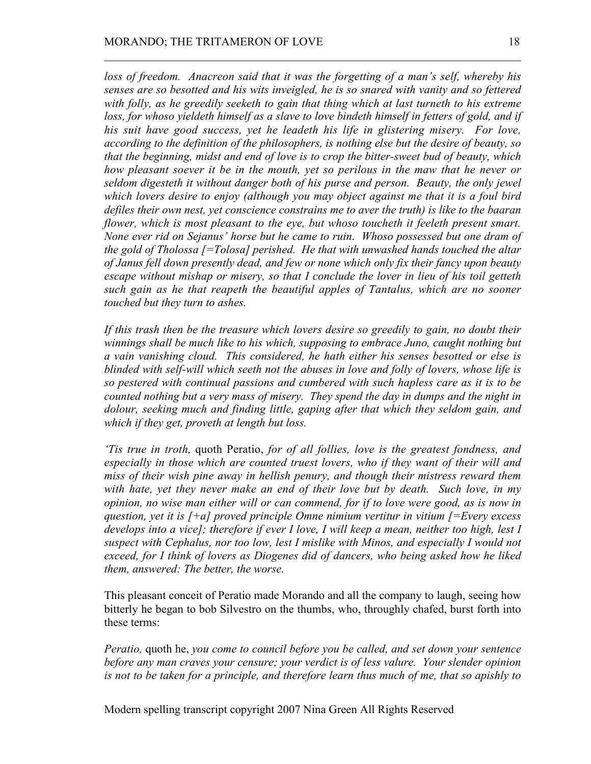*loss of freedom. Anacreon said that it was the forgetting of a man's self, whereby his senses are so besotted and his wits inveigled, he is so snared with vanity and so fettered with folly, as he greedily seeketh to gain that thing which at last turneth to his extreme loss, for whoso yieldeth himself as a slave to love bindeth himself in fetters of gold, and if his suit have good success, yet he leadeth his life in glistering misery. For love, according to the definition of the philosophers, is nothing else but the desire of beauty, so that the beginning, midst and end of love is to crop the bitter-sweet bud of beauty, which how pleasant soever it be in the mouth, yet so perilous in the maw that he never or seldom digesteth it without danger both of his purse and person. Beauty, the only jewel which lovers desire to enjoy (although you may object against me that it is a foul bird defiles their own nest, yet conscience constrains me to aver the truth) is like to the baaran flower, which is most pleasant to the eye, but whoso toucheth it feeleth present smart. None ever rid on Sejanus' horse but he came to ruin. Whoso possessed but one dram of the gold of Tholossa [=Tolosa] perished. He that with unwashed hands touched the altar of Janus fell down presently dead, and few or none which only fix their fancy upon beauty escape without mishap or misery, so that I conclude the lover in lieu of his toil getteth such gain as he that reapeth the beautiful apples of Tantalus, which are no sooner touched but they turn to ashes.*

 $\mathcal{L}_\text{max} = \mathcal{L}_\text{max} = \mathcal{L}_\text{max} = \mathcal{L}_\text{max} = \mathcal{L}_\text{max} = \mathcal{L}_\text{max} = \mathcal{L}_\text{max} = \mathcal{L}_\text{max} = \mathcal{L}_\text{max} = \mathcal{L}_\text{max} = \mathcal{L}_\text{max} = \mathcal{L}_\text{max} = \mathcal{L}_\text{max} = \mathcal{L}_\text{max} = \mathcal{L}_\text{max} = \mathcal{L}_\text{max} = \mathcal{L}_\text{max} = \mathcal{L}_\text{max} = \mathcal{$ 

*If this trash then be the treasure which lovers desire so greedily to gain, no doubt their winnings shall be much like to his which, supposing to embrace Juno, caught nothing but a vain vanishing cloud. This considered, he hath either his senses besotted or else is blinded with self-will which seeth not the abuses in love and folly of lovers, whose life is so pestered with continual passions and cumbered with such hapless care as it is to be counted nothing but a very mass of misery. They spend the day in dumps and the night in dolour, seeking much and finding little, gaping after that which they seldom gain, and which if they get, proveth at length but loss.*

*'Tis true in troth,* quoth Peratio, *for of all follies, love is the greatest fondness, and especially in those which are counted truest lovers, who if they want of their will and miss of their wish pine away in hellish penury, and though their mistress reward them with hate, yet they never make an end of their love but by death. Such love, in my opinion, no wise man either will or can commend, for if to love were good, as is now in question, yet it is [+a] proved principle Omne nimium vertitur in vitium [=Every excess develops into a vice]; therefore if ever I love, I will keep a mean, neither too high, lest I suspect with Cephalus, nor too low, lest I mislike with Minos, and especially I would not exceed, for I think of lovers as Diogenes did of dancers, who being asked how he liked them, answered: The better, the worse.*

This pleasant conceit of Peratio made Morando and all the company to laugh, seeing how bitterly he began to bob Silvestro on the thumbs, who, throughly chafed, burst forth into these terms:

*Peratio,* quoth he, *you come to council before you be called, and set down your sentence before any man craves your censure; your verdict is of less valure. Your slender opinion is not to be taken for a principle, and therefore learn thus much of me, that so apishly to*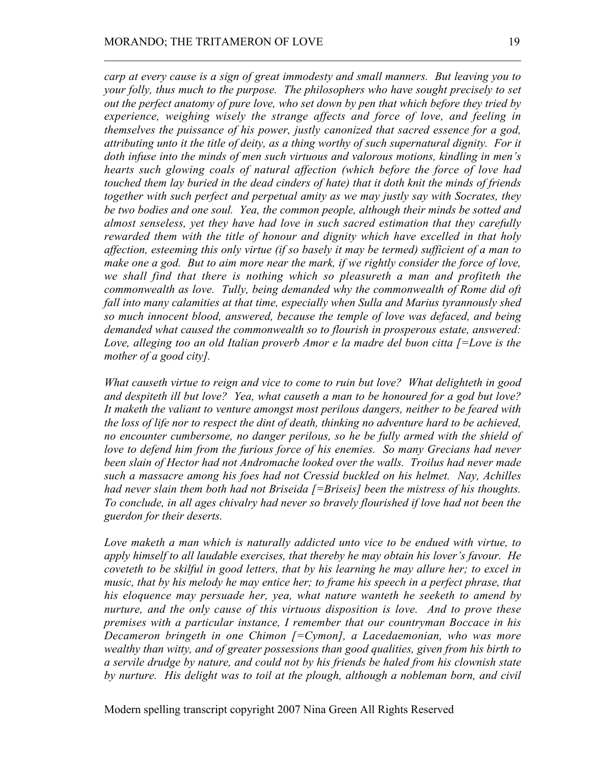*carp at every cause is a sign of great immodesty and small manners. But leaving you to your folly, thus much to the purpose. The philosophers who have sought precisely to set out the perfect anatomy of pure love, who set down by pen that which before they tried by experience, weighing wisely the strange affects and force of love, and feeling in themselves the puissance of his power, justly canonized that sacred essence for a god, attributing unto it the title of deity, as a thing worthy of such supernatural dignity. For it doth infuse into the minds of men such virtuous and valorous motions, kindling in men's hearts such glowing coals of natural affection (which before the force of love had touched them lay buried in the dead cinders of hate) that it doth knit the minds of friends together with such perfect and perpetual amity as we may justly say with Socrates, they be two bodies and one soul. Yea, the common people, although their minds be sotted and almost senseless, yet they have had love in such sacred estimation that they carefully rewarded them with the title of honour and dignity which have excelled in that holy affection, esteeming this only virtue (if so basely it may be termed) sufficient of a man to make one a god. But to aim more near the mark, if we rightly consider the force of love, we shall find that there is nothing which so pleasureth a man and profiteth the commonwealth as love. Tully, being demanded why the commonwealth of Rome did oft fall into many calamities at that time, especially when Sulla and Marius tyrannously shed so much innocent blood, answered, because the temple of love was defaced, and being demanded what caused the commonwealth so to flourish in prosperous estate, answered: Love, alleging too an old Italian proverb Amor e la madre del buon citta [=Love is the mother of a good city].*

 $\mathcal{L}_\text{max} = \mathcal{L}_\text{max} = \mathcal{L}_\text{max} = \mathcal{L}_\text{max} = \mathcal{L}_\text{max} = \mathcal{L}_\text{max} = \mathcal{L}_\text{max} = \mathcal{L}_\text{max} = \mathcal{L}_\text{max} = \mathcal{L}_\text{max} = \mathcal{L}_\text{max} = \mathcal{L}_\text{max} = \mathcal{L}_\text{max} = \mathcal{L}_\text{max} = \mathcal{L}_\text{max} = \mathcal{L}_\text{max} = \mathcal{L}_\text{max} = \mathcal{L}_\text{max} = \mathcal{$ 

*What causeth virtue to reign and vice to come to ruin but love? What delighteth in good and despiteth ill but love? Yea, what causeth a man to be honoured for a god but love? It maketh the valiant to venture amongst most perilous dangers, neither to be feared with the loss of life nor to respect the dint of death, thinking no adventure hard to be achieved, no encounter cumbersome, no danger perilous, so he be fully armed with the shield of love to defend him from the furious force of his enemies. So many Grecians had never been slain of Hector had not Andromache looked over the walls. Troilus had never made such a massacre among his foes had not Cressid buckled on his helmet. Nay, Achilles had never slain them both had not Briseida [=Briseis] been the mistress of his thoughts. To conclude, in all ages chivalry had never so bravely flourished if love had not been the guerdon for their deserts.*

*Love maketh a man which is naturally addicted unto vice to be endued with virtue, to apply himself to all laudable exercises, that thereby he may obtain his lover's favour. He coveteth to be skilful in good letters, that by his learning he may allure her; to excel in music, that by his melody he may entice her; to frame his speech in a perfect phrase, that his eloquence may persuade her, yea, what nature wanteth he seeketh to amend by nurture, and the only cause of this virtuous disposition is love. And to prove these premises with a particular instance, I remember that our countryman Boccace in his Decameron bringeth in one Chimon [=Cymon], a Lacedaemonian, who was more wealthy than witty, and of greater possessions than good qualities, given from his birth to a servile drudge by nature, and could not by his friends be haled from his clownish state by nurture. His delight was to toil at the plough, although a nobleman born, and civil*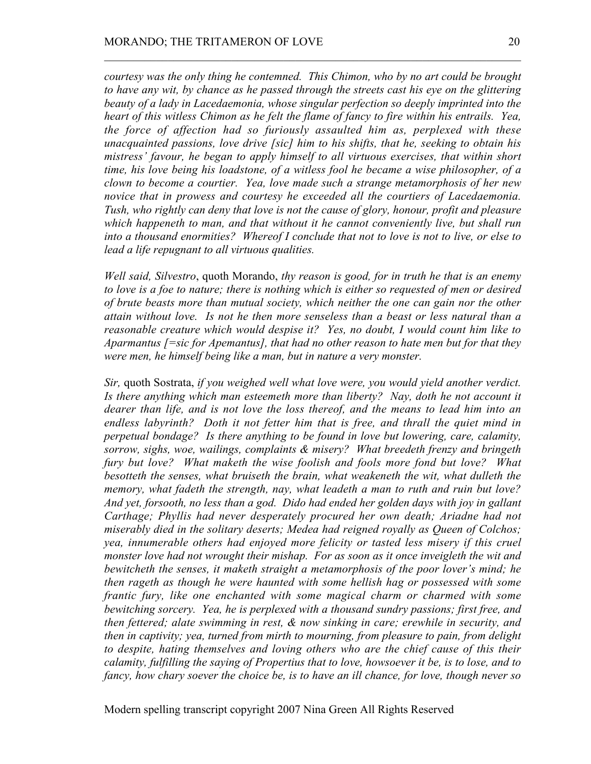*courtesy was the only thing he contemned. This Chimon, who by no art could be brought to have any wit, by chance as he passed through the streets cast his eye on the glittering beauty of a lady in Lacedaemonia, whose singular perfection so deeply imprinted into the heart of this witless Chimon as he felt the flame of fancy to fire within his entrails. Yea, the force of affection had so furiously assaulted him as, perplexed with these unacquainted passions, love drive [sic] him to his shifts, that he, seeking to obtain his mistress' favour, he began to apply himself to all virtuous exercises, that within short time, his love being his loadstone, of a witless fool he became a wise philosopher, of a clown to become a courtier. Yea, love made such a strange metamorphosis of her new novice that in prowess and courtesy he exceeded all the courtiers of Lacedaemonia. Tush, who rightly can deny that love is not the cause of glory, honour, profit and pleasure which happeneth to man, and that without it he cannot conveniently live, but shall run into a thousand enormities? Whereof I conclude that not to love is not to live, or else to lead a life repugnant to all virtuous qualities.*

 $\mathcal{L}_\text{max} = \mathcal{L}_\text{max} = \mathcal{L}_\text{max} = \mathcal{L}_\text{max} = \mathcal{L}_\text{max} = \mathcal{L}_\text{max} = \mathcal{L}_\text{max} = \mathcal{L}_\text{max} = \mathcal{L}_\text{max} = \mathcal{L}_\text{max} = \mathcal{L}_\text{max} = \mathcal{L}_\text{max} = \mathcal{L}_\text{max} = \mathcal{L}_\text{max} = \mathcal{L}_\text{max} = \mathcal{L}_\text{max} = \mathcal{L}_\text{max} = \mathcal{L}_\text{max} = \mathcal{$ 

*Well said, Silvestro*, quoth Morando, *thy reason is good, for in truth he that is an enemy to love is a foe to nature; there is nothing which is either so requested of men or desired of brute beasts more than mutual society, which neither the one can gain nor the other attain without love. Is not he then more senseless than a beast or less natural than a reasonable creature which would despise it? Yes, no doubt, I would count him like to Aparmantus [=sic for Apemantus], that had no other reason to hate men but for that they were men, he himself being like a man, but in nature a very monster.*

*Sir,* quoth Sostrata, *if you weighed well what love were, you would yield another verdict. Is there anything which man esteemeth more than liberty? Nay, doth he not account it dearer than life, and is not love the loss thereof, and the means to lead him into an endless labyrinth? Doth it not fetter him that is free, and thrall the quiet mind in perpetual bondage? Is there anything to be found in love but lowering, care, calamity, sorrow, sighs, woe, wailings, complaints & misery? What breedeth frenzy and bringeth fury but love? What maketh the wise foolish and fools more fond but love? What besotteth the senses, what bruiseth the brain, what weakeneth the wit, what dulleth the memory, what fadeth the strength, nay, what leadeth a man to ruth and ruin but love? And yet, forsooth, no less than a god. Dido had ended her golden days with joy in gallant Carthage; Phyllis had never desperately procured her own death; Ariadne had not miserably died in the solitary deserts; Medea had reigned royally as Queen of Colchos; yea, innumerable others had enjoyed more felicity or tasted less misery if this cruel monster love had not wrought their mishap. For as soon as it once inveigleth the wit and bewitcheth the senses, it maketh straight a metamorphosis of the poor lover's mind; he then rageth as though he were haunted with some hellish hag or possessed with some frantic fury, like one enchanted with some magical charm or charmed with some bewitching sorcery. Yea, he is perplexed with a thousand sundry passions; first free, and then fettered; alate swimming in rest, & now sinking in care; erewhile in security, and then in captivity; yea, turned from mirth to mourning, from pleasure to pain, from delight to despite, hating themselves and loving others who are the chief cause of this their calamity, fulfilling the saying of Propertius that to love, howsoever it be, is to lose, and to fancy, how chary soever the choice be, is to have an ill chance, for love, though never so*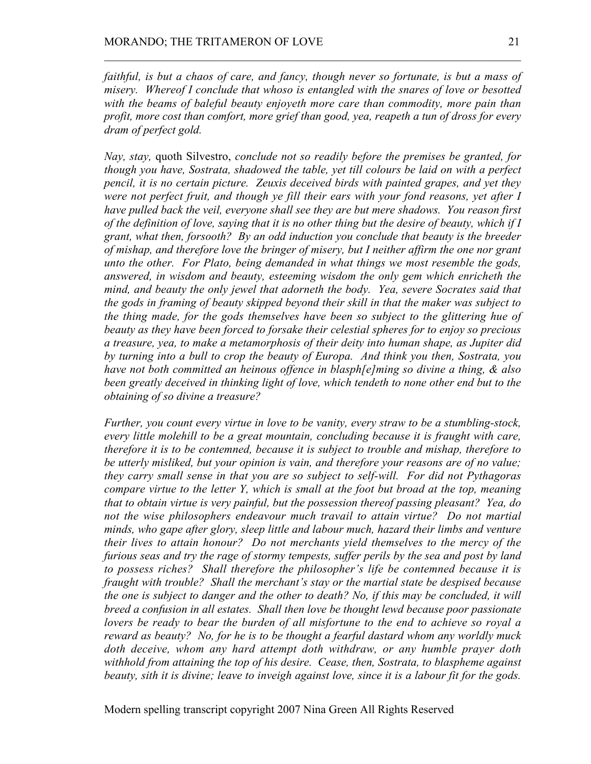*faithful, is but a chaos of care, and fancy, though never so fortunate, is but a mass of misery. Whereof I conclude that whoso is entangled with the snares of love or besotted with the beams of baleful beauty enjoyeth more care than commodity, more pain than profit, more cost than comfort, more grief than good, yea, reapeth a tun of dross for every dram of perfect gold.*

 $\mathcal{L}_\text{max} = \mathcal{L}_\text{max} = \mathcal{L}_\text{max} = \mathcal{L}_\text{max} = \mathcal{L}_\text{max} = \mathcal{L}_\text{max} = \mathcal{L}_\text{max} = \mathcal{L}_\text{max} = \mathcal{L}_\text{max} = \mathcal{L}_\text{max} = \mathcal{L}_\text{max} = \mathcal{L}_\text{max} = \mathcal{L}_\text{max} = \mathcal{L}_\text{max} = \mathcal{L}_\text{max} = \mathcal{L}_\text{max} = \mathcal{L}_\text{max} = \mathcal{L}_\text{max} = \mathcal{$ 

*Nay, stay,* quoth Silvestro, *conclude not so readily before the premises be granted, for though you have, Sostrata, shadowed the table, yet till colours be laid on with a perfect pencil, it is no certain picture. Zeuxis deceived birds with painted grapes, and yet they were not perfect fruit, and though ye fill their ears with your fond reasons, yet after I have pulled back the veil, everyone shall see they are but mere shadows. You reason first of the definition of love, saying that it is no other thing but the desire of beauty, which if I grant, what then, forsooth? By an odd induction you conclude that beauty is the breeder of mishap, and therefore love the bringer of misery, but I neither affirm the one nor grant unto the other. For Plato, being demanded in what things we most resemble the gods, answered, in wisdom and beauty, esteeming wisdom the only gem which enricheth the mind, and beauty the only jewel that adorneth the body. Yea, severe Socrates said that the gods in framing of beauty skipped beyond their skill in that the maker was subject to the thing made, for the gods themselves have been so subject to the glittering hue of beauty as they have been forced to forsake their celestial spheres for to enjoy so precious a treasure, yea, to make a metamorphosis of their deity into human shape, as Jupiter did by turning into a bull to crop the beauty of Europa. And think you then, Sostrata, you have not both committed an heinous offence in blasph[e]ming so divine a thing, & also been greatly deceived in thinking light of love, which tendeth to none other end but to the obtaining of so divine a treasure?*

*Further, you count every virtue in love to be vanity, every straw to be a stumbling-stock, every little molehill to be a great mountain, concluding because it is fraught with care, therefore it is to be contemned, because it is subject to trouble and mishap, therefore to be utterly misliked, but your opinion is vain, and therefore your reasons are of no value; they carry small sense in that you are so subject to self-will. For did not Pythagoras compare virtue to the letter Y, which is small at the foot but broad at the top, meaning that to obtain virtue is very painful, but the possession thereof passing pleasant? Yea, do not the wise philosophers endeavour much travail to attain virtue? Do not martial minds, who gape after glory, sleep little and labour much, hazard their limbs and venture their lives to attain honour? Do not merchants yield themselves to the mercy of the furious seas and try the rage of stormy tempests, suffer perils by the sea and post by land to possess riches? Shall therefore the philosopher's life be contemned because it is fraught with trouble? Shall the merchant's stay or the martial state be despised because the one is subject to danger and the other to death? No, if this may be concluded, it will breed a confusion in all estates. Shall then love be thought lewd because poor passionate lovers be ready to bear the burden of all misfortune to the end to achieve so royal a reward as beauty? No, for he is to be thought a fearful dastard whom any worldly muck doth deceive, whom any hard attempt doth withdraw, or any humble prayer doth withhold from attaining the top of his desire. Cease, then, Sostrata, to blaspheme against beauty, sith it is divine; leave to inveigh against love, since it is a labour fit for the gods.*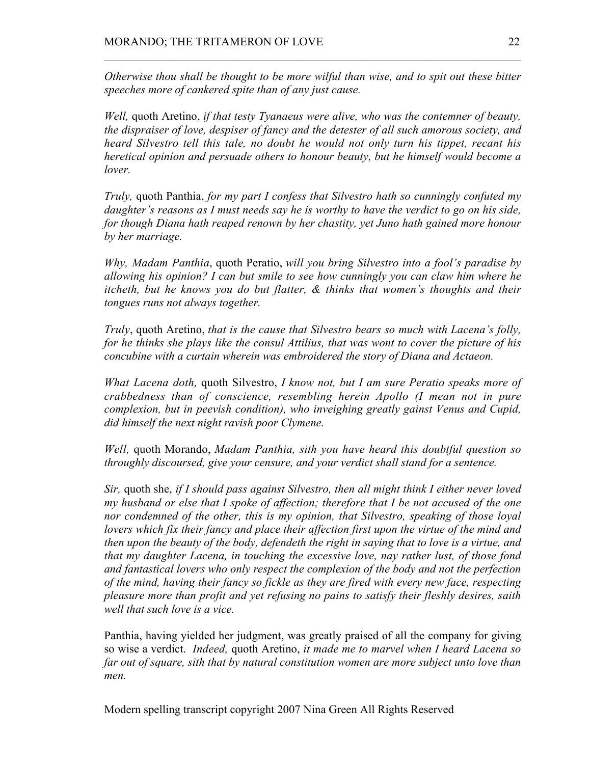*Otherwise thou shall be thought to be more wilful than wise, and to spit out these bitter speeches more of cankered spite than of any just cause.*

 $\mathcal{L}_\text{max} = \mathcal{L}_\text{max} = \mathcal{L}_\text{max} = \mathcal{L}_\text{max} = \mathcal{L}_\text{max} = \mathcal{L}_\text{max} = \mathcal{L}_\text{max} = \mathcal{L}_\text{max} = \mathcal{L}_\text{max} = \mathcal{L}_\text{max} = \mathcal{L}_\text{max} = \mathcal{L}_\text{max} = \mathcal{L}_\text{max} = \mathcal{L}_\text{max} = \mathcal{L}_\text{max} = \mathcal{L}_\text{max} = \mathcal{L}_\text{max} = \mathcal{L}_\text{max} = \mathcal{$ 

*Well,* quoth Aretino, *if that testy Tyanaeus were alive, who was the contemner of beauty, the dispraiser of love, despiser of fancy and the detester of all such amorous society, and heard Silvestro tell this tale, no doubt he would not only turn his tippet, recant his heretical opinion and persuade others to honour beauty, but he himself would become a lover.*

*Truly,* quoth Panthia, *for my part I confess that Silvestro hath so cunningly confuted my daughter's reasons as I must needs say he is worthy to have the verdict to go on his side, for though Diana hath reaped renown by her chastity, yet Juno hath gained more honour by her marriage.*

*Why, Madam Panthia*, quoth Peratio, *will you bring Silvestro into a fool's paradise by allowing his opinion? I can but smile to see how cunningly you can claw him where he itcheth, but he knows you do but flatter, & thinks that women's thoughts and their tongues runs not always together.*

*Truly*, quoth Aretino, *that is the cause that Silvestro bears so much with Lacena's folly, for he thinks she plays like the consul Attilius, that was wont to cover the picture of his concubine with a curtain wherein was embroidered the story of Diana and Actaeon.*

*What Lacena doth,* quoth Silvestro, *I know not, but I am sure Peratio speaks more of crabbedness than of conscience, resembling herein Apollo (I mean not in pure complexion, but in peevish condition), who inveighing greatly gainst Venus and Cupid, did himself the next night ravish poor Clymene.*

*Well,* quoth Morando, *Madam Panthia, sith you have heard this doubtful question so throughly discoursed, give your censure, and your verdict shall stand for a sentence.*

*Sir,* quoth she, *if I should pass against Silvestro, then all might think I either never loved my husband or else that I spoke of affection; therefore that I be not accused of the one nor condemned of the other, this is my opinion, that Silvestro, speaking of those loyal lovers which fix their fancy and place their affection first upon the virtue of the mind and then upon the beauty of the body, defendeth the right in saying that to love is a virtue, and that my daughter Lacena, in touching the excessive love, nay rather lust, of those fond and fantastical lovers who only respect the complexion of the body and not the perfection of the mind, having their fancy so fickle as they are fired with every new face, respecting pleasure more than profit and yet refusing no pains to satisfy their fleshly desires, saith well that such love is a vice.*

Panthia, having yielded her judgment, was greatly praised of all the company for giving so wise a verdict. *Indeed,* quoth Aretino, *it made me to marvel when I heard Lacena so far out of square, sith that by natural constitution women are more subject unto love than men.*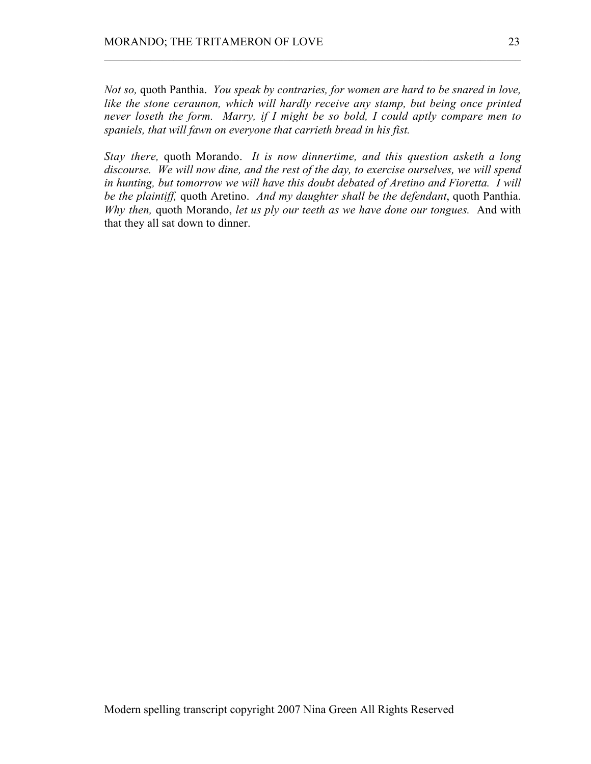*Not so,* quoth Panthia. *You speak by contraries, for women are hard to be snared in love, like the stone ceraunon, which will hardly receive any stamp, but being once printed never loseth the form. Marry, if I might be so bold, I could aptly compare men to spaniels, that will fawn on everyone that carrieth bread in his fist.*

 $\mathcal{L}_\text{max} = \mathcal{L}_\text{max} = \mathcal{L}_\text{max} = \mathcal{L}_\text{max} = \mathcal{L}_\text{max} = \mathcal{L}_\text{max} = \mathcal{L}_\text{max} = \mathcal{L}_\text{max} = \mathcal{L}_\text{max} = \mathcal{L}_\text{max} = \mathcal{L}_\text{max} = \mathcal{L}_\text{max} = \mathcal{L}_\text{max} = \mathcal{L}_\text{max} = \mathcal{L}_\text{max} = \mathcal{L}_\text{max} = \mathcal{L}_\text{max} = \mathcal{L}_\text{max} = \mathcal{$ 

*Stay there,* quoth Morando. *It is now dinnertime, and this question asketh a long discourse. We will now dine, and the rest of the day, to exercise ourselves, we will spend in hunting, but tomorrow we will have this doubt debated of Aretino and Fioretta. I will be the plaintiff,* quoth Aretino. *And my daughter shall be the defendant*, quoth Panthia. *Why then,* quoth Morando, *let us ply our teeth as we have done our tongues.* And with that they all sat down to dinner.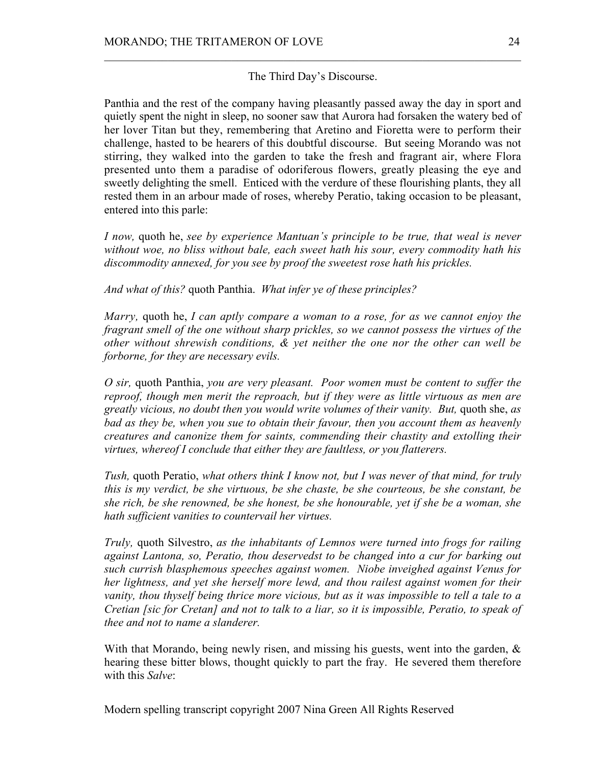The Third Day's Discourse.

 $\mathcal{L}_\text{max} = \mathcal{L}_\text{max} = \mathcal{L}_\text{max} = \mathcal{L}_\text{max} = \mathcal{L}_\text{max} = \mathcal{L}_\text{max} = \mathcal{L}_\text{max} = \mathcal{L}_\text{max} = \mathcal{L}_\text{max} = \mathcal{L}_\text{max} = \mathcal{L}_\text{max} = \mathcal{L}_\text{max} = \mathcal{L}_\text{max} = \mathcal{L}_\text{max} = \mathcal{L}_\text{max} = \mathcal{L}_\text{max} = \mathcal{L}_\text{max} = \mathcal{L}_\text{max} = \mathcal{$ 

Panthia and the rest of the company having pleasantly passed away the day in sport and quietly spent the night in sleep, no sooner saw that Aurora had forsaken the watery bed of her lover Titan but they, remembering that Aretino and Fioretta were to perform their challenge, hasted to be hearers of this doubtful discourse. But seeing Morando was not stirring, they walked into the garden to take the fresh and fragrant air, where Flora presented unto them a paradise of odoriferous flowers, greatly pleasing the eye and sweetly delighting the smell. Enticed with the verdure of these flourishing plants, they all rested them in an arbour made of roses, whereby Peratio, taking occasion to be pleasant, entered into this parle:

*I now,* quoth he, *see by experience Mantuan's principle to be true, that weal is never without woe, no bliss without bale, each sweet hath his sour, every commodity hath his discommodity annexed, for you see by proof the sweetest rose hath his prickles.*

*And what of this?* quoth Panthia. *What infer ye of these principles?*

*Marry,* quoth he, *I can aptly compare a woman to a rose, for as we cannot enjoy the fragrant smell of the one without sharp prickles, so we cannot possess the virtues of the other without shrewish conditions, & yet neither the one nor the other can well be forborne, for they are necessary evils.*

*O sir,* quoth Panthia, *you are very pleasant. Poor women must be content to suffer the reproof, though men merit the reproach, but if they were as little virtuous as men are greatly vicious, no doubt then you would write volumes of their vanity. But,* quoth she, *as bad as they be, when you sue to obtain their favour, then you account them as heavenly creatures and canonize them for saints, commending their chastity and extolling their virtues, whereof I conclude that either they are faultless, or you flatterers.*

*Tush,* quoth Peratio, *what others think I know not, but I was never of that mind, for truly this is my verdict, be she virtuous, be she chaste, be she courteous, be she constant, be she rich, be she renowned, be she honest, be she honourable, yet if she be a woman, she hath sufficient vanities to countervail her virtues.*

*Truly,* quoth Silvestro, *as the inhabitants of Lemnos were turned into frogs for railing against Lantona, so, Peratio, thou deservedst to be changed into a cur for barking out such currish blasphemous speeches against women. Niobe inveighed against Venus for her lightness, and yet she herself more lewd, and thou railest against women for their vanity, thou thyself being thrice more vicious, but as it was impossible to tell a tale to a Cretian [sic for Cretan] and not to talk to a liar, so it is impossible, Peratio, to speak of thee and not to name a slanderer.*

With that Morando, being newly risen, and missing his guests, went into the garden,  $\&$ hearing these bitter blows, thought quickly to part the fray. He severed them therefore with this *Salve*: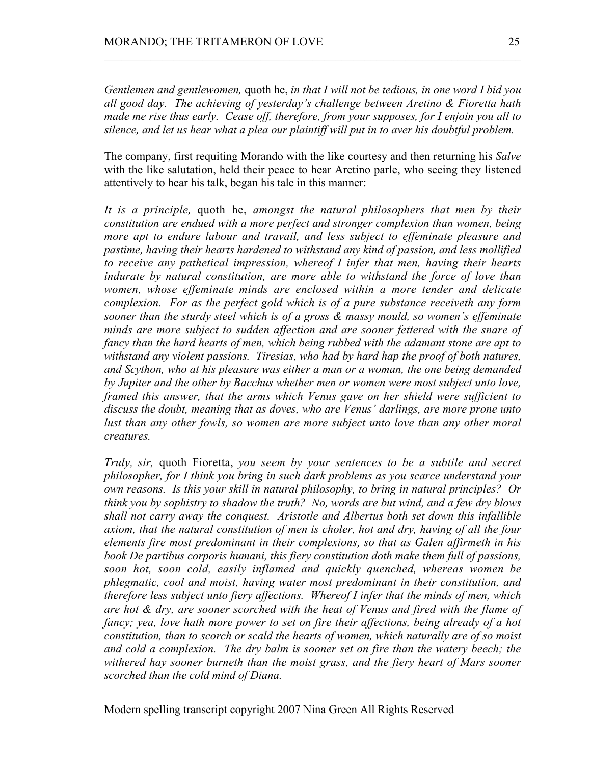*Gentlemen and gentlewomen,* quoth he, *in that I will not be tedious, in one word I bid you all good day. The achieving of yesterday's challenge between Aretino & Fioretta hath made me rise thus early. Cease off, therefore, from your supposes, for I enjoin you all to silence, and let us hear what a plea our plaintiff will put in to aver his doubtful problem.*

 $\mathcal{L}_\text{max} = \mathcal{L}_\text{max} = \mathcal{L}_\text{max} = \mathcal{L}_\text{max} = \mathcal{L}_\text{max} = \mathcal{L}_\text{max} = \mathcal{L}_\text{max} = \mathcal{L}_\text{max} = \mathcal{L}_\text{max} = \mathcal{L}_\text{max} = \mathcal{L}_\text{max} = \mathcal{L}_\text{max} = \mathcal{L}_\text{max} = \mathcal{L}_\text{max} = \mathcal{L}_\text{max} = \mathcal{L}_\text{max} = \mathcal{L}_\text{max} = \mathcal{L}_\text{max} = \mathcal{$ 

The company, first requiting Morando with the like courtesy and then returning his *Salve* with the like salutation, held their peace to hear Aretino parle, who seeing they listened attentively to hear his talk, began his tale in this manner:

*It is a principle,* quoth he, *amongst the natural philosophers that men by their constitution are endued with a more perfect and stronger complexion than women, being more apt to endure labour and travail, and less subject to effeminate pleasure and pastime, having their hearts hardened to withstand any kind of passion, and less mollified to receive any pathetical impression, whereof I infer that men, having their hearts indurate by natural constitution, are more able to withstand the force of love than women, whose effeminate minds are enclosed within a more tender and delicate complexion. For as the perfect gold which is of a pure substance receiveth any form sooner than the sturdy steel which is of a gross & massy mould, so women's effeminate minds are more subject to sudden affection and are sooner fettered with the snare of fancy than the hard hearts of men, which being rubbed with the adamant stone are apt to withstand any violent passions. Tiresias, who had by hard hap the proof of both natures, and Scython, who at his pleasure was either a man or a woman, the one being demanded by Jupiter and the other by Bacchus whether men or women were most subject unto love, framed this answer, that the arms which Venus gave on her shield were sufficient to discuss the doubt, meaning that as doves, who are Venus' darlings, are more prone unto lust than any other fowls, so women are more subject unto love than any other moral creatures.*

*Truly, sir,* quoth Fioretta, *you seem by your sentences to be a subtile and secret philosopher, for I think you bring in such dark problems as you scarce understand your own reasons. Is this your skill in natural philosophy, to bring in natural principles? Or think you by sophistry to shadow the truth? No, words are but wind, and a few dry blows shall not carry away the conquest. Aristotle and Albertus both set down this infallible axiom, that the natural constitution of men is choler, hot and dry, having of all the four elements fire most predominant in their complexions, so that as Galen affirmeth in his book De partibus corporis humani, this fiery constitution doth make them full of passions, soon hot, soon cold, easily inflamed and quickly quenched, whereas women be phlegmatic, cool and moist, having water most predominant in their constitution, and therefore less subject unto fiery affections. Whereof I infer that the minds of men, which are hot & dry, are sooner scorched with the heat of Venus and fired with the flame of fancy; yea, love hath more power to set on fire their affections, being already of a hot constitution, than to scorch or scald the hearts of women, which naturally are of so moist and cold a complexion. The dry balm is sooner set on fire than the watery beech; the withered hay sooner burneth than the moist grass, and the fiery heart of Mars sooner scorched than the cold mind of Diana.*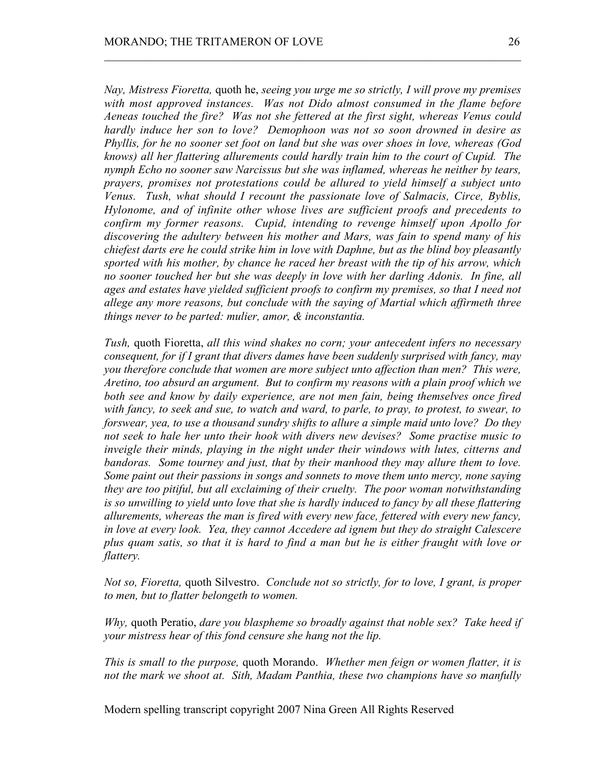*Nay, Mistress Fioretta,* quoth he, *seeing you urge me so strictly, I will prove my premises with most approved instances. Was not Dido almost consumed in the flame before Aeneas touched the fire? Was not she fettered at the first sight, whereas Venus could hardly induce her son to love? Demophoon was not so soon drowned in desire as Phyllis, for he no sooner set foot on land but she was over shoes in love, whereas (God knows) all her flattering allurements could hardly train him to the court of Cupid. The nymph Echo no sooner saw Narcissus but she was inflamed, whereas he neither by tears, prayers, promises not protestations could be allured to yield himself a subject unto Venus. Tush, what should I recount the passionate love of Salmacis, Circe, Byblis, Hylonome, and of infinite other whose lives are sufficient proofs and precedents to confirm my former reasons. Cupid, intending to revenge himself upon Apollo for discovering the adultery between his mother and Mars, was fain to spend many of his chiefest darts ere he could strike him in love with Daphne, but as the blind boy pleasantly sported with his mother, by chance he raced her breast with the tip of his arrow, which no sooner touched her but she was deeply in love with her darling Adonis. In fine, all ages and estates have yielded sufficient proofs to confirm my premises, so that I need not allege any more reasons, but conclude with the saying of Martial which affirmeth three things never to be parted: mulier, amor, & inconstantia.*

 $\mathcal{L}_\text{max} = \mathcal{L}_\text{max} = \mathcal{L}_\text{max} = \mathcal{L}_\text{max} = \mathcal{L}_\text{max} = \mathcal{L}_\text{max} = \mathcal{L}_\text{max} = \mathcal{L}_\text{max} = \mathcal{L}_\text{max} = \mathcal{L}_\text{max} = \mathcal{L}_\text{max} = \mathcal{L}_\text{max} = \mathcal{L}_\text{max} = \mathcal{L}_\text{max} = \mathcal{L}_\text{max} = \mathcal{L}_\text{max} = \mathcal{L}_\text{max} = \mathcal{L}_\text{max} = \mathcal{$ 

*Tush,* quoth Fioretta, *all this wind shakes no corn; your antecedent infers no necessary consequent, for if I grant that divers dames have been suddenly surprised with fancy, may you therefore conclude that women are more subject unto affection than men? This were, Aretino, too absurd an argument. But to confirm my reasons with a plain proof which we both see and know by daily experience, are not men fain, being themselves once fired with fancy, to seek and sue, to watch and ward, to parle, to pray, to protest, to swear, to forswear, yea, to use a thousand sundry shifts to allure a simple maid unto love? Do they not seek to hale her unto their hook with divers new devises? Some practise music to inveigle their minds, playing in the night under their windows with lutes, citterns and bandoras. Some tourney and just, that by their manhood they may allure them to love. Some paint out their passions in songs and sonnets to move them unto mercy, none saying they are too pitiful, but all exclaiming of their cruelty. The poor woman notwithstanding is so unwilling to yield unto love that she is hardly induced to fancy by all these flattering allurements, whereas the man is fired with every new face, fettered with every new fancy, in love at every look. Yea, they cannot Accedere ad ignem but they do straight Calescere plus quam satis, so that it is hard to find a man but he is either fraught with love or flattery.*

*Not so, Fioretta,* quoth Silvestro. *Conclude not so strictly, for to love, I grant, is proper to men, but to flatter belongeth to women.*

*Why,* quoth Peratio, *dare you blaspheme so broadly against that noble sex? Take heed if your mistress hear of this fond censure she hang not the lip.*

*This is small to the purpose,* quoth Morando. *Whether men feign or women flatter, it is not the mark we shoot at. Sith, Madam Panthia, these two champions have so manfully*